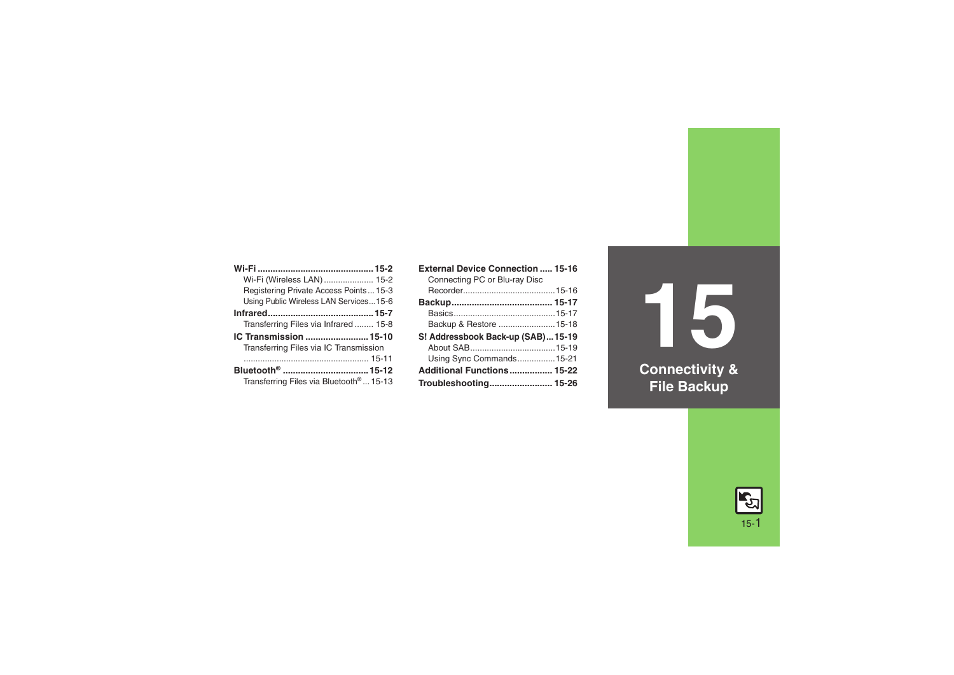| Wi-Fi (Wireless LAN)  15-2                          |
|-----------------------------------------------------|
| Registering Private Access Points 15-3              |
| Using Public Wireless LAN Services15-6              |
|                                                     |
| Transferring Files via Infrared 15-8                |
| IC Transmission 15-10                               |
| Transferring Files via IC Transmission              |
|                                                     |
| Bluetooth <sup>®</sup> 15-12                        |
| Transferring Files via Bluetooth <sup>®</sup> 15-13 |

| <b>External Device Connection  15-16</b> |  |
|------------------------------------------|--|
| Connecting PC or Blu-ray Disc            |  |
|                                          |  |
|                                          |  |
|                                          |  |
| Backup & Restore  15-18                  |  |
| S! Addressbook Back-up (SAB)15-19        |  |
|                                          |  |
| Using Sync Commands15-21                 |  |
| Additional Functions 15-22               |  |
| Troubleshooting 15-26                    |  |

**15 Connectivity & File Backup**

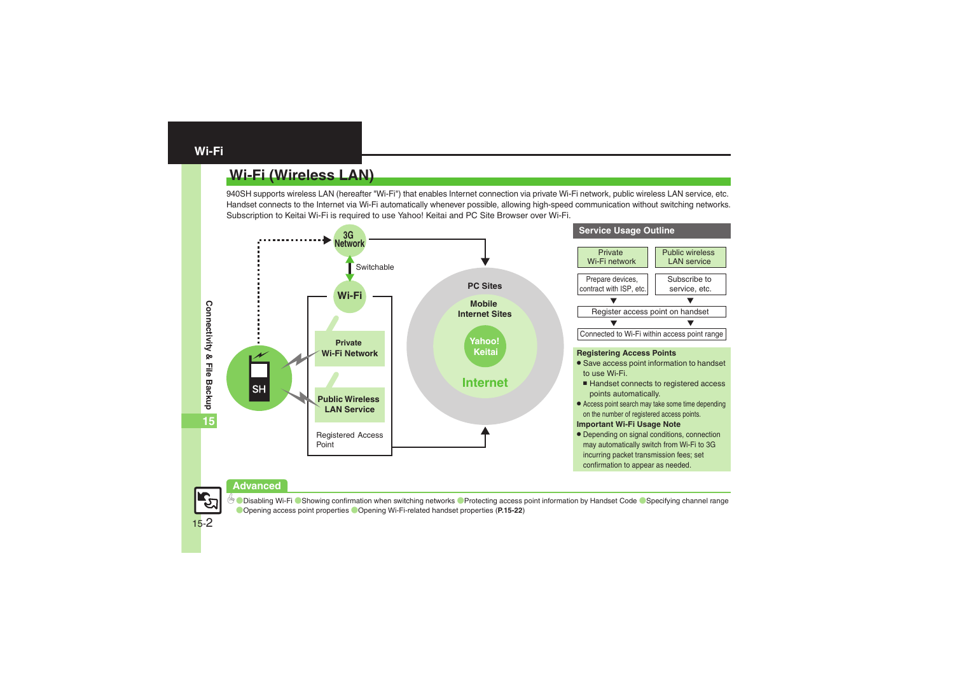# <span id="page-1-1"></span><span id="page-1-0"></span>**Wi-Fi (Wireless LAN)**

940SH supports wireless LAN (hereafter "Wi-Fi") that enables Internet connection via private Wi-Fi network, public wireless LAN service, etc. Handset connects to the Internet via Wi-Fi automatically whenever possible, allowing high-speed communication without switching networks. Subscription to Keitai Wi-Fi is required to use Yahoo! Keitai and PC Site Browser over Wi-Fi.



#### **Advanced**



**O[Disabling Wi-Fi](#page-21-1) C**[Showing confirmation when switching networks](#page-21-2) C[Protecting access point information by Handset Code](#page-21-3) C[Specifying channel range](#page-21-4) ([Opening access point properties](#page-21-5) ([Opening Wi-Fi-related handset properties](#page-21-6) (**[P.15-22](#page-21-1)**)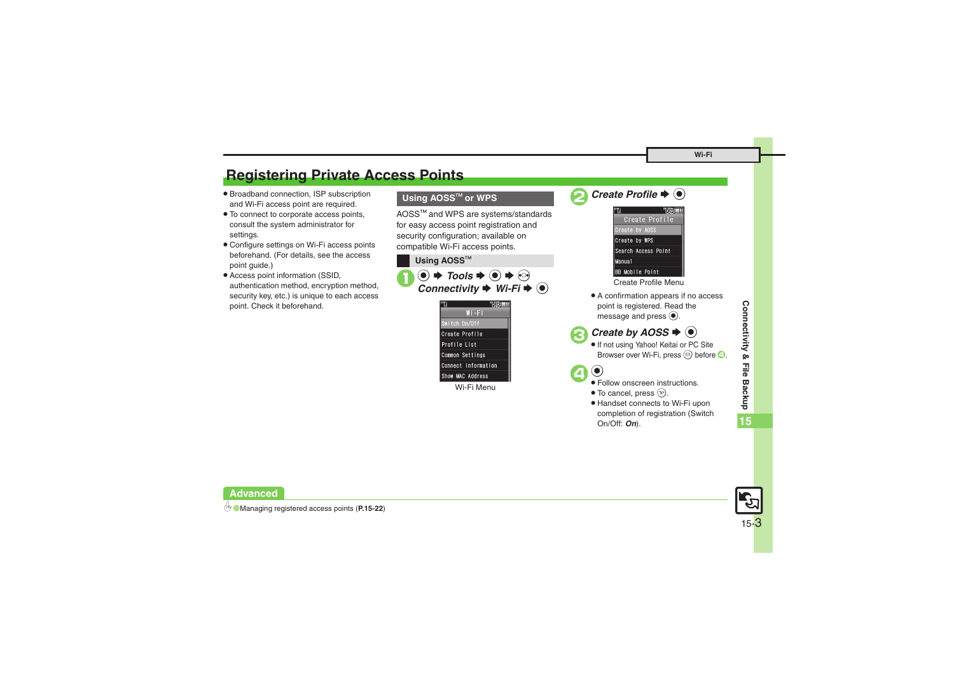# <span id="page-2-0"></span>**Registering Private Access Points**

- . Broadband connection, ISP subscription and Wi-Fi access point are required.
- . To connect to corporate access points, consult the system administrator for settings.
- . Configure settings on Wi-Fi access points beforehand. (For details, see the access point guide.)
- . Access point information (SSID, authentication method, encryption method, security key, etc.) is unique to each access point. Check it beforehand.

### **Using AOSS**<sup>=</sup> **or WPS**

AOSS<sup>™</sup> and WPS are systems/standards for easy access point registration and security configuration; available on compatible Wi-Fi access points.

**Using AOSS™**  $\circledbullet \Rightarrow$  *Tools*  $\Rightarrow$   $\circledbullet \Rightarrow$   $\circledcirc$ <br>*Connectivity*  $\Rightarrow$  *Wi-Fi*  $\Rightarrow$   $\circledbullet$  $Wi-Fi$ 



Wi-Fi Menu





Create Profile Menu

. A confirmation appears if no access point is registered. Read the message and press  $\odot$ .

```
Create by AOSS \blacklozenge \odot
```
 If not using Yahoo! Keitai or PC Site Browser over Wi-Fi, press  $\textcircled{3}$  before  $\textcircled{4}$ .



- Follow onscreen instructions.
- $\bullet$  To cancel, press  $\circledcirc$ .
- . Handset connects to Wi-Fi upon completion of registration (Switch On/Off: *On*).



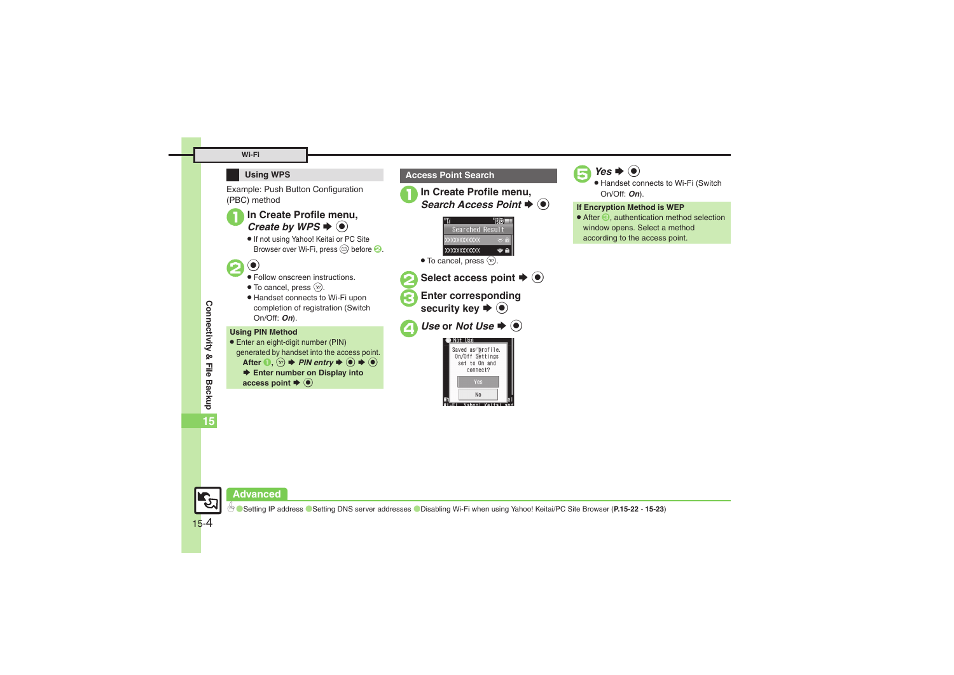#### **Wi-Fi**

#### **Using WPS**

Example: Push Button Configuration (PBC) method

# In Create Profile menu, Create by WPS  $\bigstar$   $\circledcirc$

. If not using Yahoo! Keitai or PC Site Browser over Wi-Fi, press  $\circledcirc$  before  $\bullet$ .



- $\odot$
- Follow onscreen instructions.
- $\bullet$  To cancel, press  $\circledcirc$ .
- . Handset connects to Wi-Fi upon completion of registration (Switch On/Off: *On*).

#### **Using PIN Method**

● Enter an eight-digit number (PIN) generated by handset into the access point. After  $\mathbf{0}, \Omega$   $\Rightarrow$  *PIN entry*  $\Rightarrow$   $\odot$   $\Rightarrow$   $\odot$ ◆ Enter number on Display into access point  $\blacktriangleright$   $\textcircled{\scriptsize{\bullet}}$ 





 $t \blacktriangleright @$ 

Select access point  $\blacktriangleright$  ( $\blacklozenge$ )

Enter corresponding<br>security key  $\blacktriangleright$  ( $\blacklozenge$ )



## $Yes$   $\blacklozenge$   $\blacklozenge$

 Handset connects to Wi-Fi (Switch On/Off: *On*).

#### **If Encryption Method is WEP**

 $\bullet$  After  $\odot$ , authentication method selection window opens. Select a method according to the access point.

**15**



#### **Advanced**

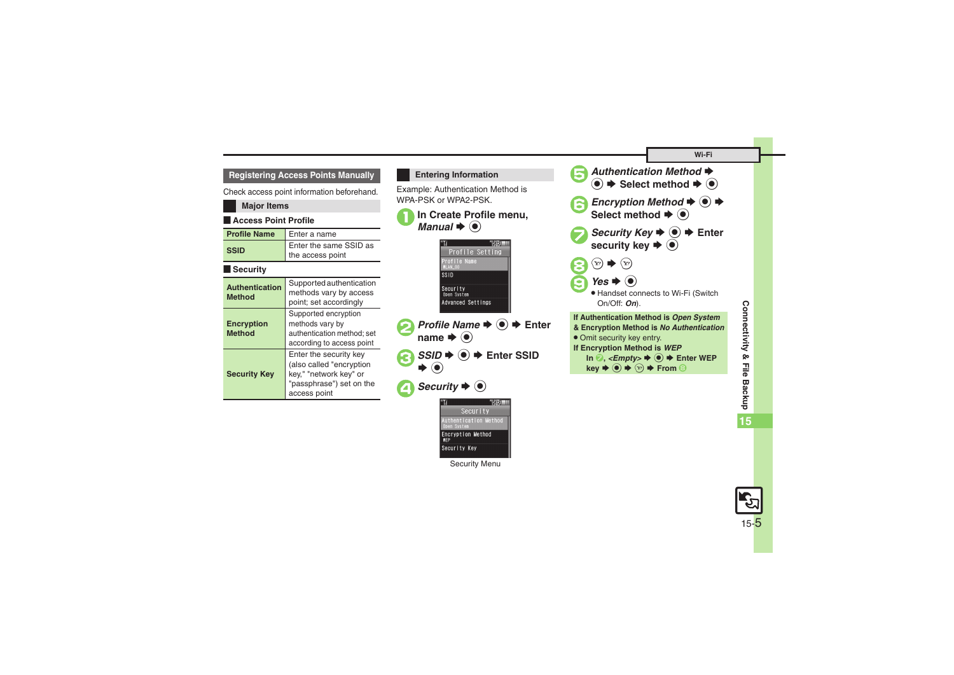#### **Registering Access Points Manually**

Check access point information beforehand.

| Crieck access point information beforehand. |                                                                                                                          |
|---------------------------------------------|--------------------------------------------------------------------------------------------------------------------------|
| <b>Major Items</b>                          |                                                                                                                          |
| <b>Access Point Profile</b>                 |                                                                                                                          |
| <b>Profile Name</b>                         | Enter a name                                                                                                             |
| <b>SSID</b>                                 | Enter the same SSID as<br>the access point                                                                               |
| Security                                    |                                                                                                                          |
| <b>Authentication</b><br>Method             | Supported authentication<br>methods vary by access<br>point; set accordingly                                             |
| Encryption<br><b>Method</b>                 | Supported encryption<br>methods vary by<br>authentication method; set<br>according to access point                       |
| <b>Security Key</b>                         | Enter the security key<br>(also called "encryption<br>key," "network key" or<br>"passphrase") set on the<br>access point |

#### <span id="page-4-0"></span>**Entering Information**

Example: Authentication Method is WPA-PSK or WPA2-PSK.





Security Menu

uthentication Method Encryption Method Security Key



Connectivity & File Backup **Connectivity & File Backup 15**

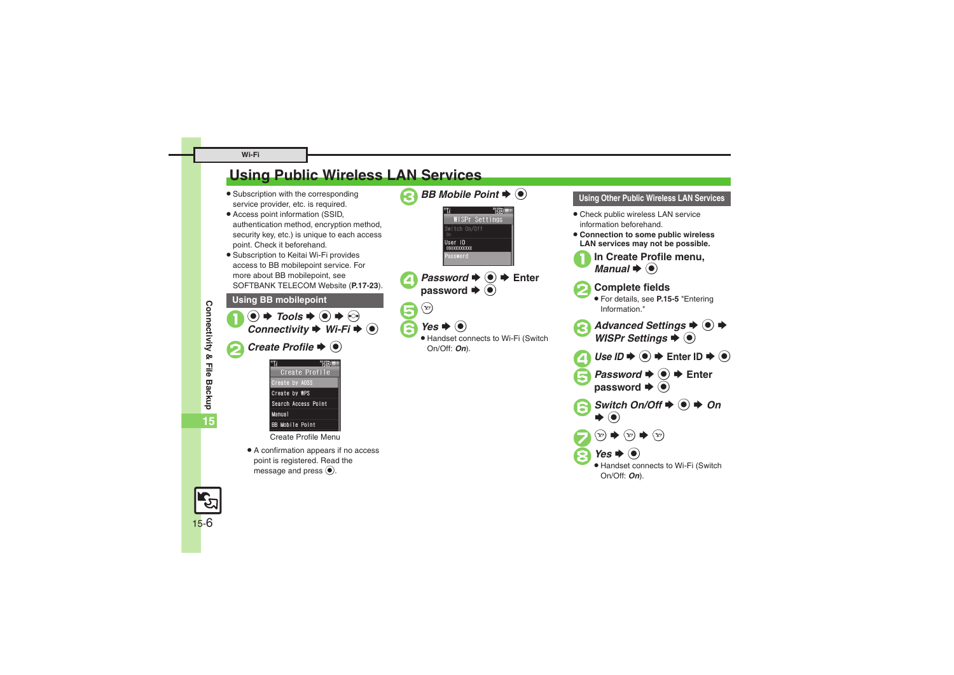#### **Wi-Fi**

# <span id="page-5-0"></span>**Using Public Wireless LAN Services**

- **•** Subscription with the corresponding service provider, etc. is required.
- . Access point information (SSID, authentication method, encryption method, security key, etc.) is unique to each access point. Check it beforehand.
- . Subscription to Keitai Wi-Fi provides access to BB mobilepoint service. For more about BB mobilepoint, see SOFTBANK TELECOM Website (**P.17-23**).

**Using BB mobilepoint**



Create Profile Menu

. A confirmation appears if no access point is registered. Read the message and press  $\odot$ .



#### **Using Other Public Wireless LAN Services**

- . Check public wireless LAN service information beforehand.
- . **Connection to some public wireless LAN services may not be possible.**
- 

**In Create Profile menu,**  $\mathbf{l} \blacktriangleright \mathbf{\Theta}$ 



2**Complete fields** .

 For details, see **[P.15-5](#page-4-0)** "Entering Information."

- *Advanced Settings*  $\rightarrow$  <sup>●</sup> → *WISPr Settings*  $\rightarrow$  ●
- $Use ID \Rightarrow$   $\textcircled{\textcircled{\textcirc}} \Rightarrow$  Enter ID  $\Rightarrow$   $\textcircled{\textcircled{\textcirc}}$
- *Password*  $\bigcirc$   $\bigcirc$   $\bigcirc$  Enter password  $\bigcirc$
- *Switch On/Off*  $\triangle$  ( $\odot$ )  $\triangle$  *On*  $\blacktriangleright$  (0)



**8***Yes* **→ ⊙**<br>• Handset connects to Wi-Fi (Switch On/Off: *On*).



**Connectivity & File Backup**

Connectivity & File Backup

**15**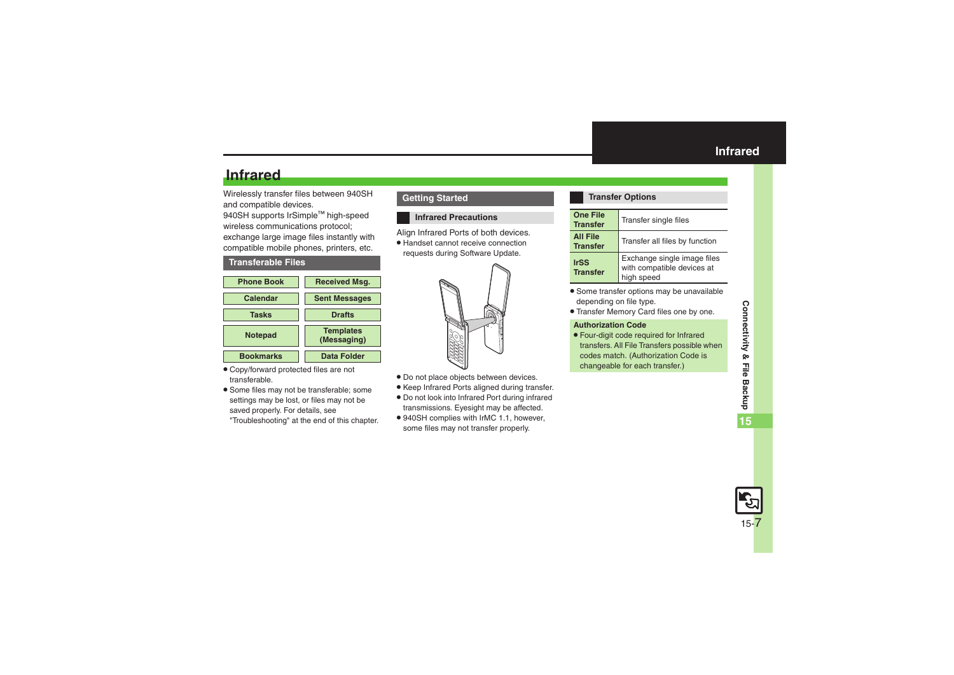# **Infrared**

Wirelessly transfer files between 940SH and compatible devices.

940SH supports IrSimple™ high-speed wireless communications protocol; exchange large image files instantly with compatible mobile phones, printers, etc.

#### <span id="page-6-1"></span>**Transferable Files**



- . Copy/forward protected files are not transferable.
- . Some files may not be transferable; some settings may be lost, or files may not be saved properly. For details, see "Troubleshooting" at the end of this chapter.

#### **Getting Started**

#### **Infrared Precautions**

Align Infrared Ports of both devices.

. Handset cannot receive connection requests during Software Update.



- . Do not place objects between devices.
- . Keep Infrared Ports aligned during transfer.
- . Do not look into Infrared Port during infrared transmissions. Eyesight may be affected.
- . 940SH complies with IrMC 1.1, however, some files may not transfer properly.

#### <span id="page-6-0"></span>**Transfer Options**

| <b>One File</b><br><b>Transfer</b> | Transfer single files                                                   |
|------------------------------------|-------------------------------------------------------------------------|
| <b>All File</b><br><b>Transfer</b> | Transfer all files by function                                          |
| <b>IrSS</b><br><b>Transfer</b>     | Exchange single image files<br>with compatible devices at<br>high speed |

- . Some transfer options may be unavailable depending on file type.
- . Transfer Memory Card files one by one.

#### **Authorization Code**

. Four-digit code required for Infrared transfers. All File Transfers possible when codes match. (Authorization Code is changeable for each transfer.)

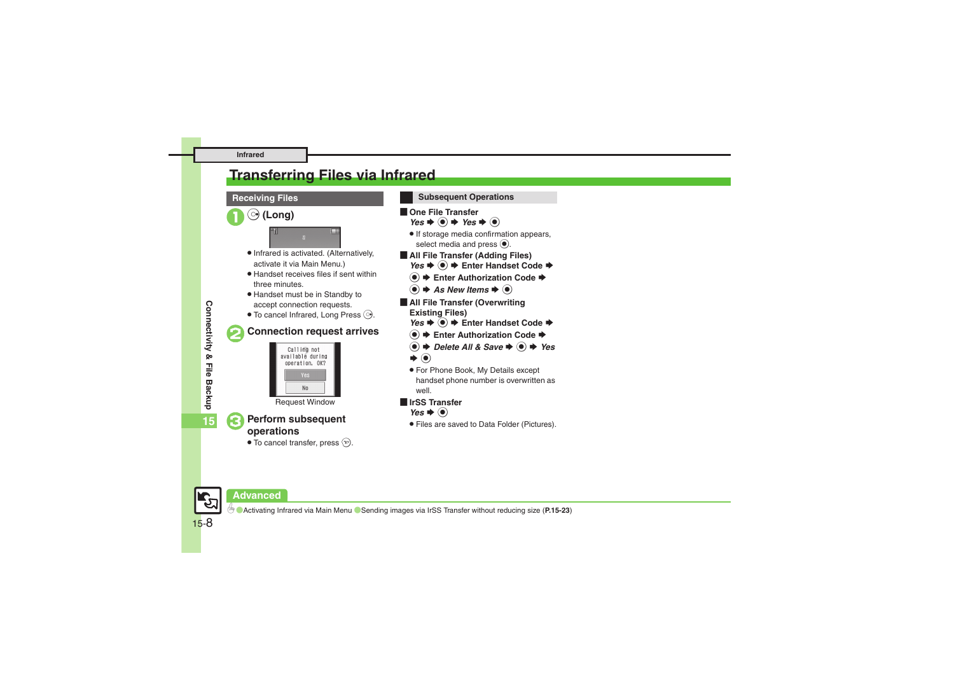# <span id="page-7-0"></span>**Transferring Files via Infrared**





0([Activating Infrared via Main Menu](#page-22-2) ([Sending images via IrSS Transfer without reducing size](#page-22-3) (**[P.15-23](#page-22-2)**)

Connectivity & File Backup **Connectivity & File Backup**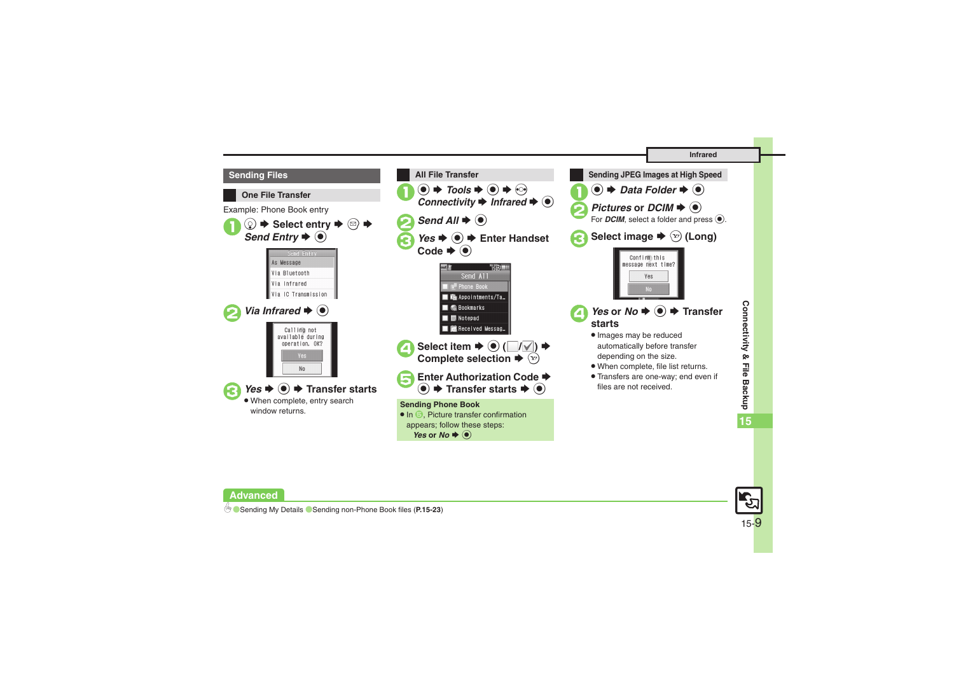





 $\mathbf 0$ 



b **C** [Sending My Details](#page-22-4) C [Sending non-Phone Book files](#page-22-5) ([P.15-23](#page-22-4))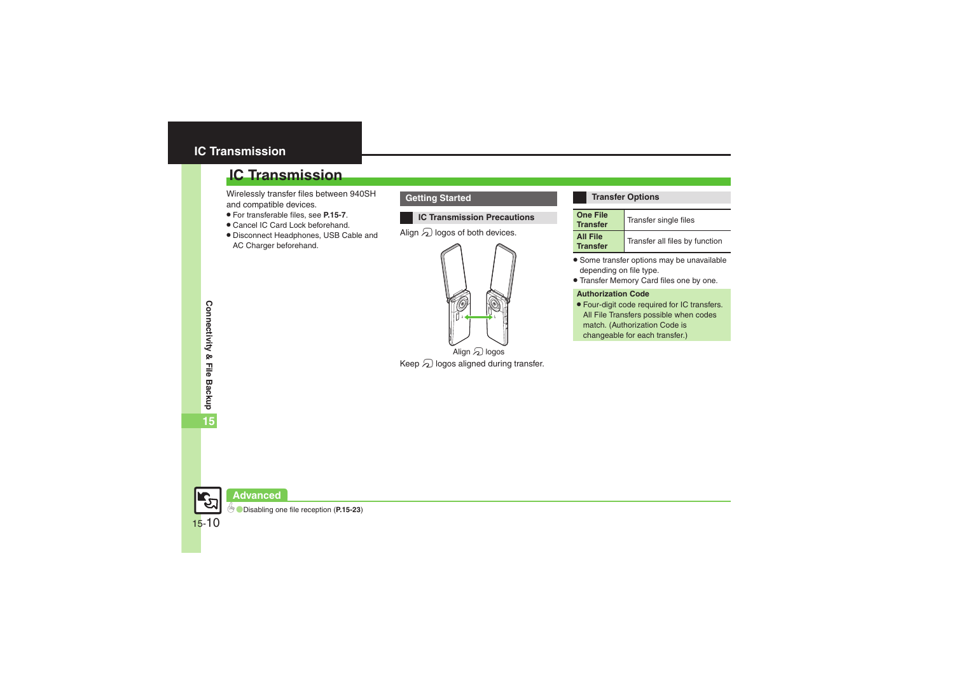# <span id="page-9-0"></span>**IC Transmission**

# **IC Transmission**

Wirelessly transfer files between 940SH and compatible devices.

- . For transferable files, see **[P.15-7](#page-6-1)**.
- . Cancel IC Card Lock beforehand.
- . Disconnect Headphones, USB Cable and AC Charger beforehand.

### **Getting Started**

#### **IC Transmission Precautions**

Align  $\Omega$  logos of both devices.



Keep  $\Omega$  logos aligned during transfer.

#### **Transfer Options**

| <b>One File</b><br><b>Transfer</b> | Transfer single files          |
|------------------------------------|--------------------------------|
| <b>All File</b><br><b>Transfer</b> | Transfer all files by function |

- . Some transfer options may be unavailable depending on file type.
- . Transfer Memory Card files one by one.

#### **Authorization Code**

. Four-digit code required for IC transfers. All File Transfers possible when codes match. (Authorization Code is changeable for each transfer.)



**Advanced**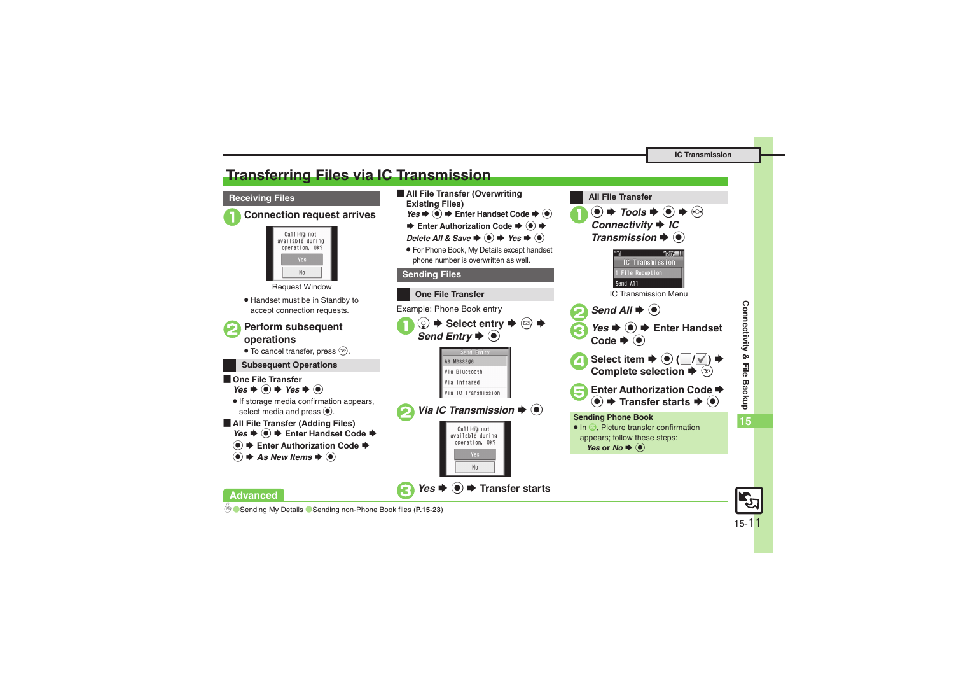# <span id="page-10-0"></span>**Transferring Files via IC Transmission**

#### **Receiving Files**



Calling not available during operation, OK?  $N<sub>0</sub>$ 

Request Window

. Handset must be in Standby to accept connection requests.



 $\bullet$  To cancel transfer, press  $\circledcirc$ .

#### **Subsequent Operations**

 $\blacksquare$  One File Transfer  $Yes$   $\bullet$   $\odot$   $\bullet$  *Yes*  $\bullet$   $\odot$ 

. If storage media confirmation appears, select media and press  $\odot$ .

[ **All File Transfer (Adding Files)** *Yes*  $\bullet$  **●**  $\bullet$  Enter Handset Code  $\bullet$ 

**(●)**  $\blacktriangleright$  **Enter Authorization Code →** 

0([Sending My Details](#page-22-7) ([Sending non-Phone Book files](#page-22-8) (**[P.15-23](#page-22-6)**)

 $\bullet$   $\bullet$  As New Items  $\bullet$   $\bullet$ 

**Advanced**

- **E** All File Transfer (Overwriting **Existing Files)** *Yes*  $\bigcirc$   $\bigcirc$   $\bigstar$  Enter Handset Code  $\bigcirc$  **③** 
	- **Enter Authorization Code → + +**

*Delete All & Save*  $\rightarrow$  ●  $\rightarrow$  *Yes*  $\rightarrow$  ●

. For Phone Book, My Details except handset phone number is overwritten as well.

#### **Sending Files**





Connectivity & File Backup **Connectivity & File Backup 15**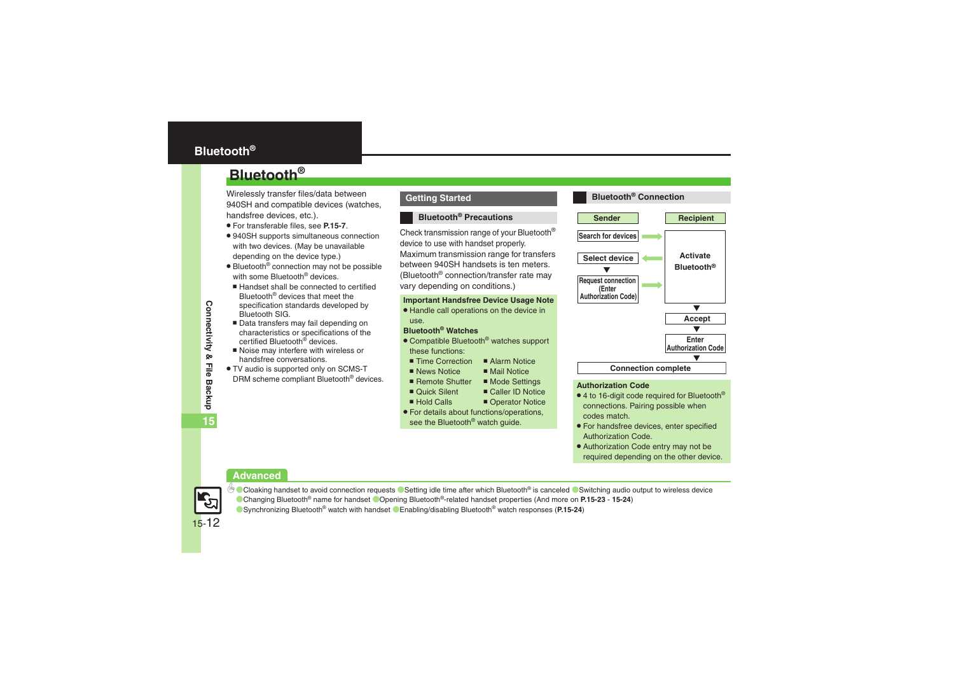# <span id="page-11-0"></span>**Bluetooth®**

# **Bluetooth®**

Wirelessly transfer files/data between 940SH and compatible devices (watches, handsfree devices, etc.).

- . For transferable files, see **[P.15-7](#page-6-1)**.
- . 940SH supports simultaneous connection with two devices. (May be unavailable depending on the device type.)
- Bluetooth<sup>®</sup> connection may not be possible with some Bluetooth<sup>®</sup> devices.
- Handset shall be connected to certified Bluetooth® devices that meet the specification standards developed by Bluetooth SIG.
- Data transfers may fail depending on characteristics or specifications of the certified Bluetooth<sup>®</sup> devices.
- Noise may interfere with wireless or handsfree conversations.
- . TV audio is supported only on SCMS-T DRM scheme compliant Bluetooth® devices.

#### **Getting Started**

#### **Bluetooth® Precautions**

Check transmission range of your Bluetooth® device to use with handset properly. Maximum transmission range for transfers between 940SH handsets is ten meters. (Bluetooth® connection/transfer rate may vary depending on conditions.)

#### **Important Handsfree Device Usage Note**

. Handle call operations on the device in use.

#### **Bluetooth® Watches**

- Compatible Bluetooth<sup>®</sup> watches support these functions:
	- Time Correction ■ Alarm Notice
		- $M$ ail Notice
- $\blacksquare$  News Notice Remote Shutter  $M$  Mode Settings
- Ouick Silent  $\blacksquare$  Caller ID Notice
- Hold Calls
- Operator Notice
- . For details about functions/operations, see the Bluetooth<sup>®</sup> watch guide.



#### **Authorization Code**

- $\bullet$  4 to 16-digit code required for Bluetooth® connections. Pairing possible when codes match.
- . For handsfree devices, enter specified Authorization Code.
- . Authorization Code entry may not be required depending on the other device.

#### **Advanced**



● [Cloaking handset to avoid connection requests](#page-22-9) ● [Setting idle time after which Bluetooth](#page-22-10)<sup>®</sup> is canceled ● [Switching audio output to wireless device](#page-22-11) ([Changing Bluetooth](#page-22-12)® name for handset (Opening Bluetooth[®-related handset properties](#page-23-0) (And more on **[P.15-23](#page-22-9)** - **[15-24](#page-23-0)**) ([Synchronizing Bluetooth](#page-23-1)® watch with handset ([Enabling/disabling Bluetooth](#page-23-2)® watch responses (**[P.15-24](#page-23-1)**)

Connectivity & File Backup **Connectivity & File Backup 15**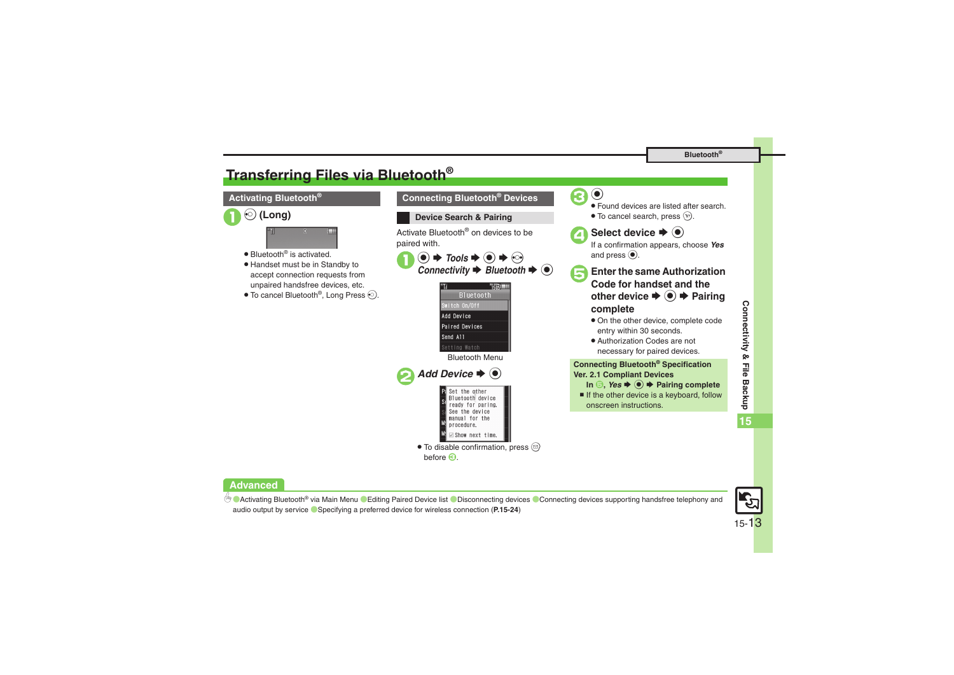# <span id="page-12-0"></span>**Transferring Files via Bluetooth®**



#### **Advanced**

<sup>⊛</sup> [Activating Bluetooth](#page-23-3)® via Main Menu ● [Editing Paired Device list](#page-23-4) ● [Disconnecting devices](#page-23-5) ● Connecting devices supporting handsfree telephony and [audio output by service](#page-23-6) ([Specifying a preferred device for wireless connection](#page-23-7) (**[P.15-24](#page-23-3)**)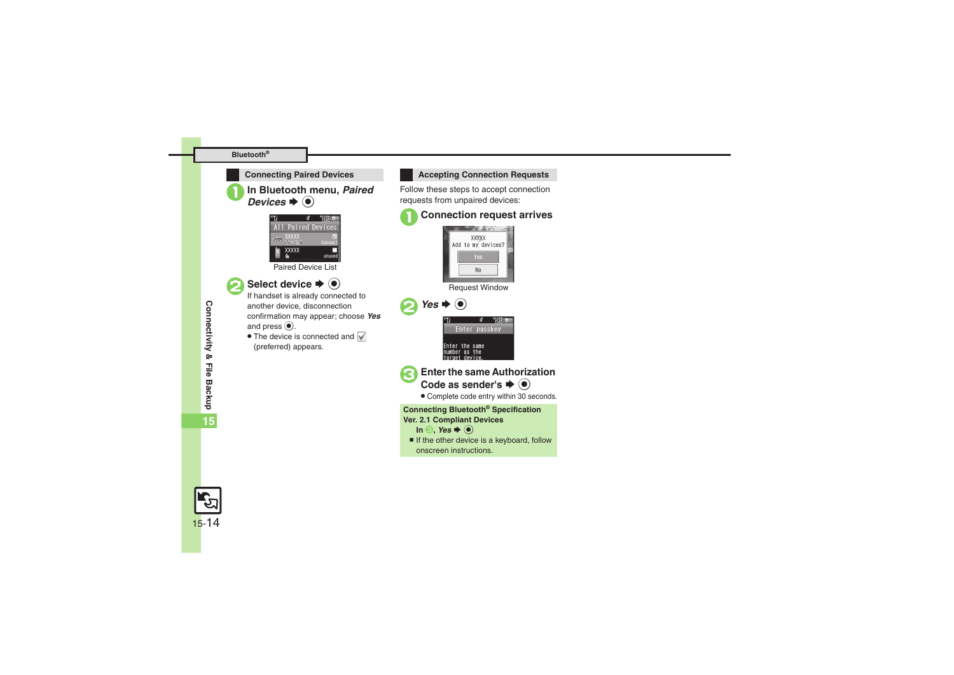#### **Bluetooth®**



**In Bluetooth menu, Paired**  $\bm{s}\bm{*}\bm{\odot}$ 



**Select device**  $\rightarrow$  $\odot$ <br>If handset is already connected to

another device, disconnection confirmation may appear; choose *Yes* and press  $\odot$ .

• The device is connected and (preferred) appears.

**Connecting Paired Devices Accepting Connection Requests** 

Follow these steps to accept connection requests from unpaired devices:

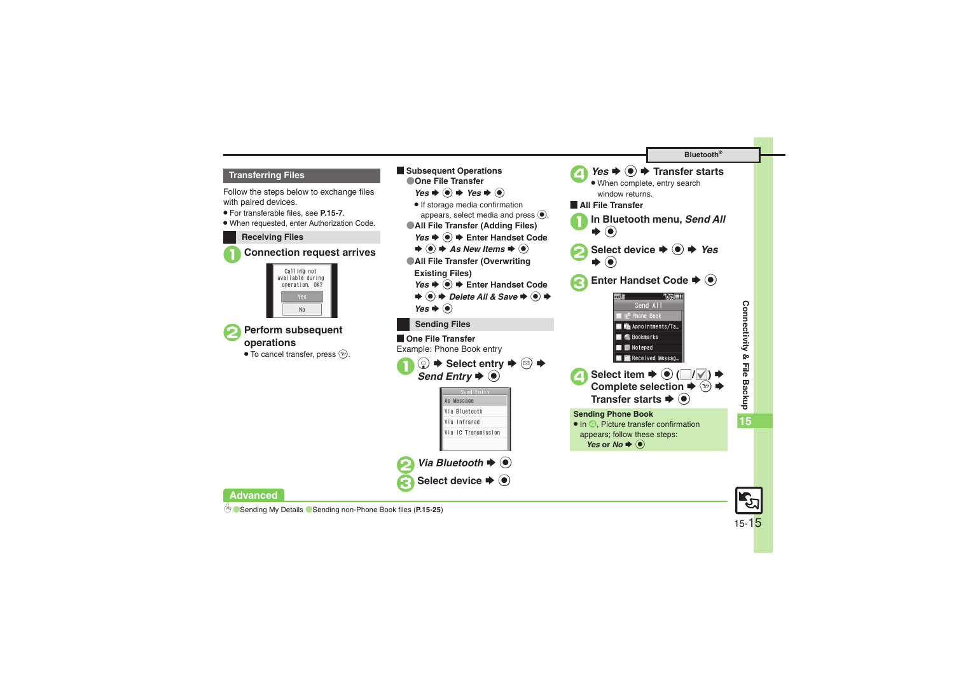#### **Transferring Files**

Follow the steps below to exchange files with paired devices.

- . For transferable files, see **[P.15-7](#page-6-1)**.
- . When requested, enter Authorization Code.

#### **Receiving Files**







 $\bullet$  To cancel transfer, press  $\circledcirc$ .



#### **Advanced**

0([Sending My Details](#page-24-0)  ([Sending non-Phone Book files](#page-24-1) (**[P.15-25](#page-24-0)**)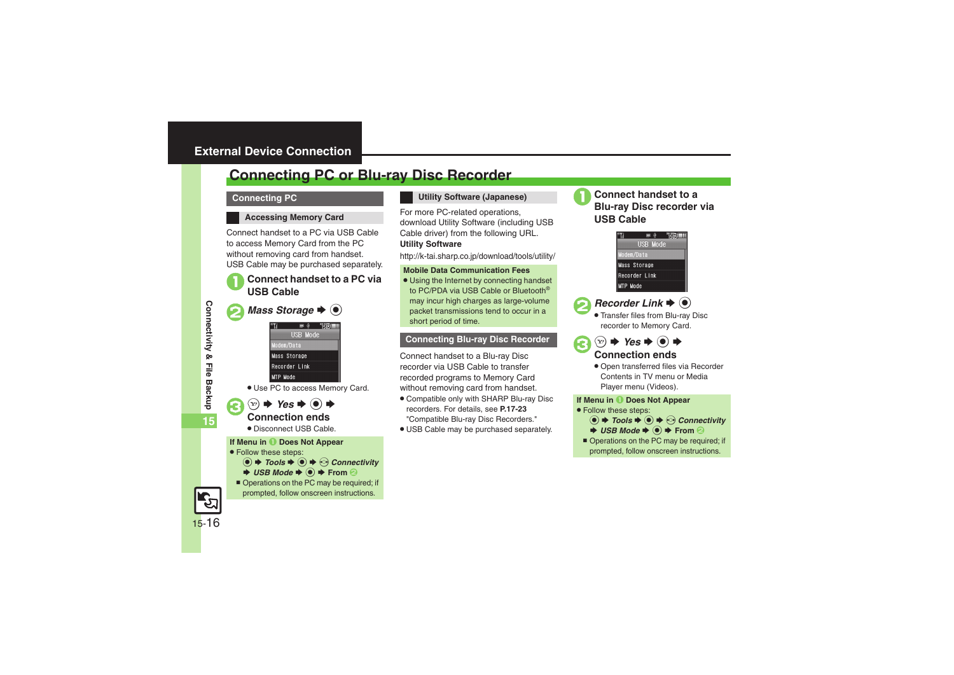# <span id="page-15-1"></span><span id="page-15-0"></span>**Connecting PC or Blu-ray Disc Recorder**

#### **Connecting PC**

#### **Accessing Memory Card**

Connect handset to a PC via USB Cable to access Memory Card from the PC without removing card from handset. USB Cable may be purchased separately.

# 1**Connect handset to a PC via USB Cable**

*Mass Storage*  $\blacklozenge$   $\odot$ 



. Use PC to access Memory Card.

 $\bullet$   $\circledcirc$   $\bullet$  *Yes*  $\bullet$   $\circledcirc$   $\bullet$ <br>Connection ends

. Disconnect USB Cable.

**If Menu in**  $\bullet$  **Does Not Appear** 

- . Follow these steps:
	- $\textcircled{\textbullet}$   $\blacktriangleright$  Tools  $\blacktriangleright$   $\textcircled{\textcirc}$   $\blacktriangleright$   $\textcircled{\textcirc}$  Connectivity
	- $\rightarrow$  *USB Mode*  $\rightarrow$   $\odot$   $\rightarrow$  From  $\odot$
	- Operations on the PC may be required; if prompted, follow onscreen instructions.

#### **Utility Software (Japanese)**

For more PC-related operations, download Utility Software (including USB Cable driver) from the following URL. **Utility Software**

http://k-tai.sharp.co.jp/download/tools/utility/

#### **Mobile Data Communication Fees**

. Using the Internet by connecting handset to PC/PDA via USB Cable or Bluetooth® may incur high charges as large-volume packet transmissions tend to occur in a short period of time.

#### **Connecting Blu-ray Disc Recorder**

Connect handset to a Blu-ray Disc recorder via USB Cable to transfer recorded programs to Memory Card without removing card from handset.

- . Compatible only with SHARP Blu-ray Disc recorders. For details, see **P.17-23** "Compatible Blu-ray Disc Recorders."
- . USB Cable may be purchased separately.



<sup>1</sup>**Connect handset to a Blu-ray Disc recorder via USB Cable**



## $\textsf{Reorder Link} \bigoplus \textsf{(0)}$

 Transfer files from Blu-ray Disc recorder to Memory Card.

 $\circledcirc \Rightarrow \text{Yes} \Rightarrow \circledcirc \Rightarrow$ <br>Connection ends

. Open transferred files via Recorder Contents in TV menu or Media Player menu (Videos).

#### **If Menu in**  $\bullet$  **Does Not Appear**

. Follow these steps:



■ Operations on the PC may be required; if prompted, follow onscreen instructions.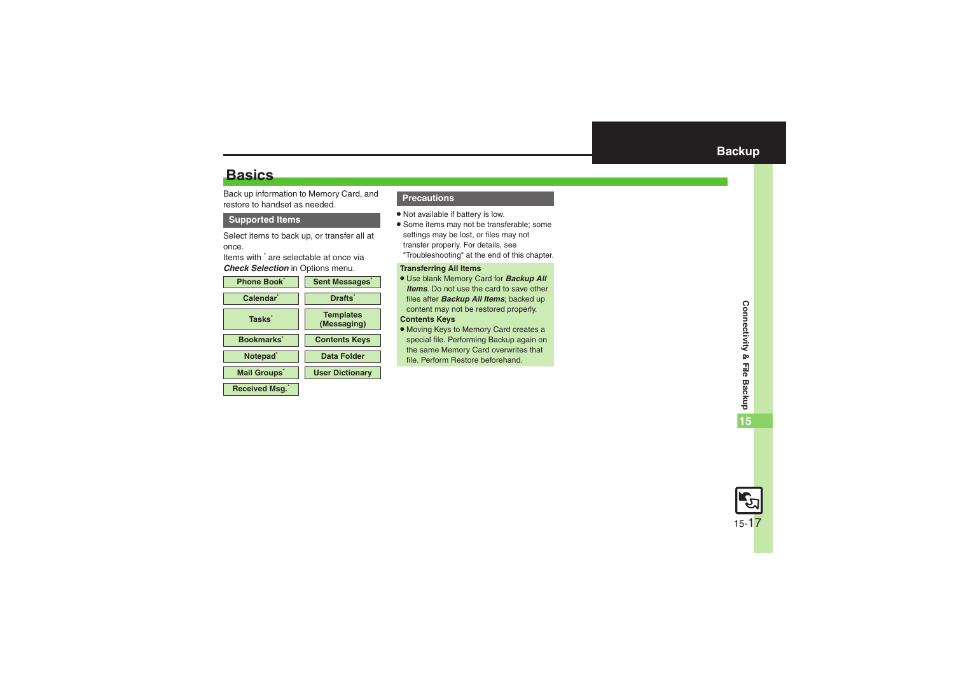# <span id="page-16-1"></span>**Basics**

Back up information to Memory Card, and restore to handset as needed.

#### **Supported Items**

Select items to back up, or transfer all at once.

Items with \* are selectable at once via *Check Selection* in Options menu.



#### <span id="page-16-0"></span>**Precautions**

- . Not available if battery is low.
- . Some items may not be transferable; some settings may be lost, or files may not transfer properly. For details, see "Troubleshooting" at the end of this chapter.

#### **Transferring All Items**

- . Use blank Memory Card for *Backup All Items*. Do not use the card to save other files after *Backup All Items*; backed up content may not be restored properly. **Contents Keys**
- . Moving Keys to Memory Card creates a special file. Performing Backup again on the same Memory Card overwrites that file. Perform Restore beforehand.

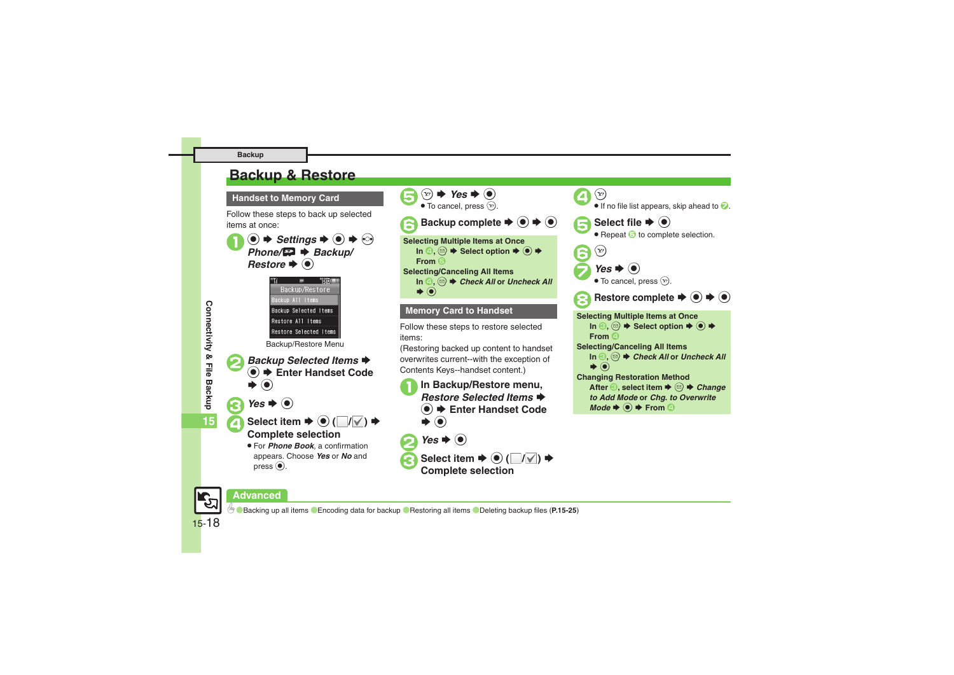# <span id="page-17-0"></span>**Backup & Restore**

**Handset to Memory Card**

Follow these steps to back up selected items at once:





# **Advanced**

0([Backing up all items](#page-24-2) ([Encoding data for backup](#page-24-3) ([Restoring all items](#page-24-4) ([Deleting backup files](#page-24-5) (**[P.15-25](#page-24-2)**)

**Connectivity & File Backup Connectivity & File Backup**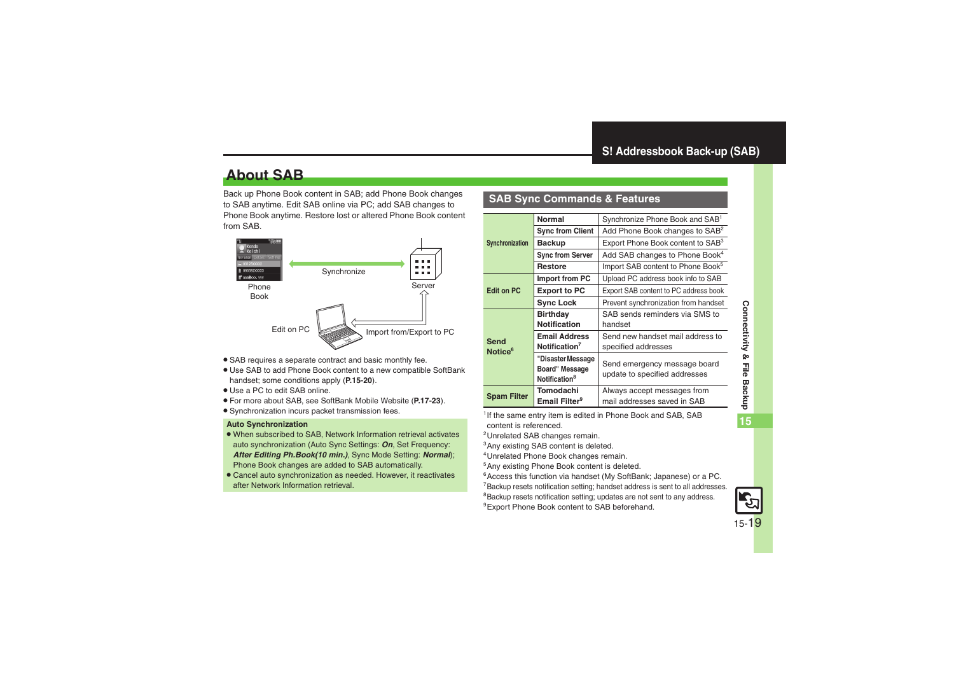# <span id="page-18-1"></span>**About SAB**

Back up Phone Book content in SAB; add Phone Book changes to SAB anytime. Edit SAB online via PC; add SAB changes to Phone Book anytime. Restore lost or altered Phone Book content from SAB.



- . SAB requires a separate contract and basic monthly fee.
- . Use SAB to add Phone Book content to a new compatible SoftBank handset; some conditions apply (**[P.15-20](#page-19-0)**).
- . Use a PC to edit SAB online.
- . For more about SAB, see SoftBank Mobile Website (**P.17-23**).
- Synchronization incurs packet transmission fees.

#### **Auto Synchronization**

- . When subscribed to SAB, Network Information retrieval activates auto synchronization (Auto Sync Settings: *On*, Set Frequency: *After Editing Ph.Book(10 min.)*, Sync Mode Setting: *Normal*); Phone Book changes are added to SAB automatically.
- . Cancel auto synchronization as needed. However, it reactivates after Network Information retrieval.

### <span id="page-18-0"></span>**SAB Sync Commands & Features**

|                     | Normal                    | Synchronize Phone Book and SAB <sup>1</sup>   |
|---------------------|---------------------------|-----------------------------------------------|
|                     | <b>Sync from Client</b>   | Add Phone Book changes to SAB <sup>2</sup>    |
| Synchronization     | <b>Backup</b>             | Export Phone Book content to SAB <sup>3</sup> |
|                     | <b>Sync from Server</b>   | Add SAB changes to Phone Book <sup>4</sup>    |
|                     | <b>Restore</b>            | Import SAB content to Phone Book <sup>5</sup> |
|                     | Import from PC            | Upload PC address book info to SAB            |
| <b>Edit on PC</b>   | <b>Export to PC</b>       | Export SAB content to PC address book         |
|                     | <b>Sync Lock</b>          | Prevent synchronization from handset          |
|                     | <b>Birthday</b>           | SAB sends reminders via SMS to                |
|                     | <b>Notification</b>       | handset                                       |
| Send                | <b>Email Address</b>      | Send new handset mail address to              |
| Notice <sup>6</sup> | Notification <sup>7</sup> | specified addresses                           |
|                     | "Disaster Message         | Send emergency message board                  |
|                     | Board" Message            | update to specified addresses                 |
|                     | Notification <sup>8</sup> |                                               |
| <b>Spam Filter</b>  | Tomodachi                 | Always accept messages from                   |
|                     | Email Filter <sup>9</sup> | mail addresses saved in SAB                   |

<sup>1</sup> If the same entry item is edited in Phone Book and SAB, SAB content is referenced.

- 2Unrelated SAB changes remain.
- 3Any existing SAB content is deleted.
- 4Unrelated Phone Book changes remain.
- 5Any existing Phone Book content is deleted.
- <sup>6</sup> Access this function via handset (My SoftBank; Japanese) or a PC.
- 7Backup resets notification setting; handset address is sent to all addresses.
- 8Backup resets notification setting; updates are not sent to any address.
- <sup>9</sup> Export Phone Book content to SAB beforehand.

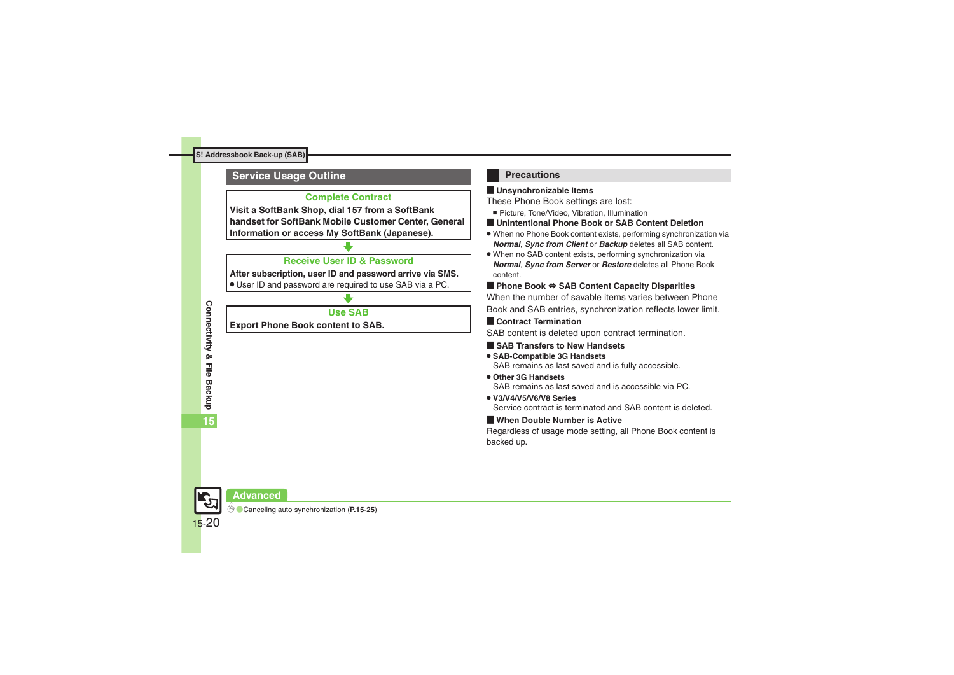### <span id="page-19-0"></span>**Service Usage Outline**

#### **Complete Contract**

**Visit a SoftBank Shop, dial 157 from a SoftBank handset for SoftBank Mobile Customer Center, General Information or access My SoftBank (Japanese).**

### **Receive User ID & Password**

**After subscription, user ID and password arrive via SMS.**

. User ID and password are required to use SAB via a PC.

### **Use SAB**

**Export Phone Book content to SAB.**

### **Precautions**

#### [ **Unsynchronizable Items**

These Phone Book settings are lost:

- Picture, Tone/Video, Vibration, Illumination
- [ **Unintentional Phone Book or SAB Content Deletion**
- . When no Phone Book content exists, performing synchronization via *Normal*, *Sync from Client* or *Backup* deletes all SAB content.
- . When no SAB content exists, performing synchronization via *Normal*, *Sync from Server* or *Restore* deletes all Phone Book content.

#### [ **Phone Book** ⇔ **SAB Content Capacity Disparities**

When the number of savable items varies between Phone Book and SAB entries, synchronization reflects lower limit.

#### **Exercicle Contract Termination**

SAB content is deleted upon contract termination.

#### $\blacksquare$  **SAB Transfers to New Handsets**

#### . **SAB-Compatible 3G Handsets** SAB remains as last saved and is fully accessible.

- . **Other 3G Handsets**SAB remains as last saved and is accessible via PC.
- . **V3/V4/V5/V6/V8 Series**

Service contract is terminated and SAB content is deleted.

#### [ **When Double Number is Active**

Regardless of usage mode setting, all Phone Book content is backed up.



0([Canceling auto synchronization](#page-24-6) (**[P.15-25](#page-24-6)**)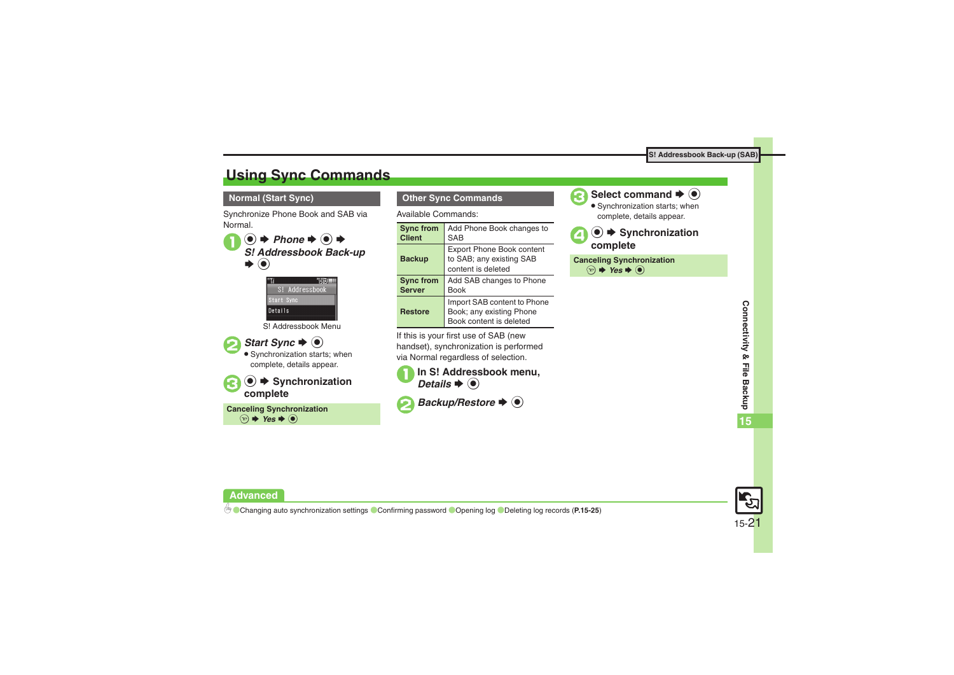# <span id="page-20-0"></span>**Using Sync Commands**

#### **Normal (Start Sync)**

Synchronize Phone Book and SAB via Normal.





S! Addressbook Menu





. Synchronization starts; when complete, details appear.



**Canceling Synchronization**  $\circledcirc$   $\blacktriangleright$  Yes  $\blacktriangleright$   $\odot$ 

#### **Other Sync Commands**

Available Commands:

| <b>Sync from</b> | Add Phone Book changes to                                                          |
|------------------|------------------------------------------------------------------------------------|
| <b>Client</b>    | SAB                                                                                |
| <b>Backup</b>    | <b>Export Phone Book content</b><br>to SAB; any existing SAB<br>content is deleted |
| <b>Sync from</b> | Add SAB changes to Phone                                                           |
| <b>Server</b>    | <b>Book</b>                                                                        |
| <b>Restore</b>   | Import SAB content to Phone<br>Book; any existing Phone<br>Book content is deleted |

If this is your first use of SAB (new handset), synchronization is performed via Normal regardless of selection.

| In S! Addressbook menu,                           |
|---------------------------------------------------|
| Details $\blacktriangleright$ ( $\blacklozenge$ ) |



**2**Backup/Restore  $\rightarrow$  <sup>0</sup>



Select command  $\rightarrow$  <sup>O</sup>

. Synchronization starts; when complete, details appear.

 $\boldsymbol{\Theta}$ **<sup>●</sup> Synchronization complete**

**Canceling Synchronization**  $\circledcirc$   $\blacktriangleright$  Yes  $\blacktriangleright$   $\odot$ 



**Advanced**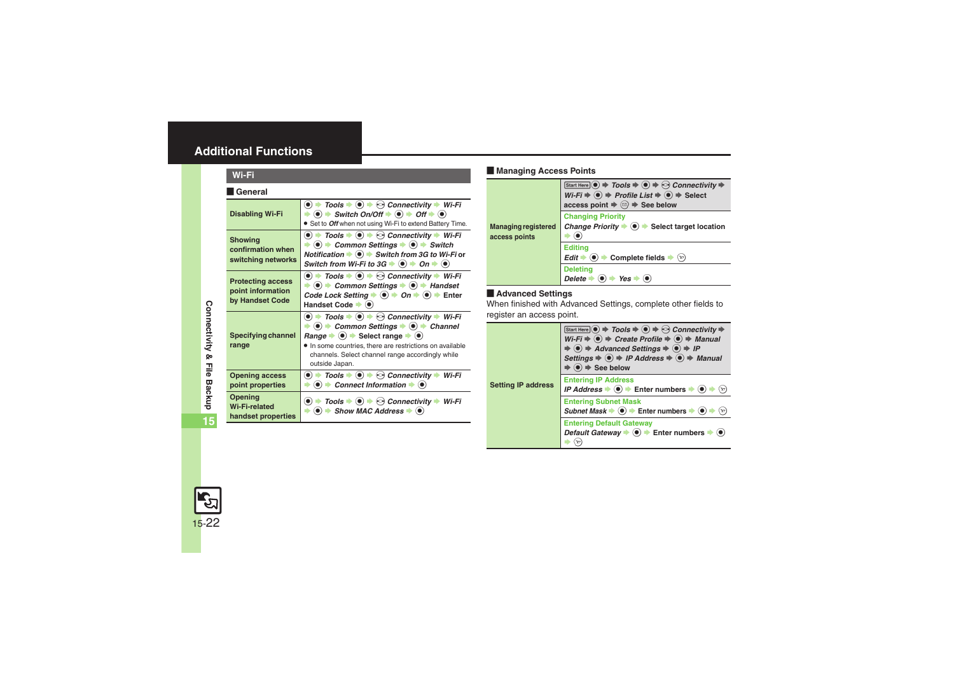# <span id="page-21-0"></span>**Additional Functions**

<span id="page-21-3"></span><span id="page-21-2"></span><span id="page-21-1"></span>

| Wi-Fi                                                            |                                                                                                                                                                                                                                                                                                                                                                                                                                                             |  |
|------------------------------------------------------------------|-------------------------------------------------------------------------------------------------------------------------------------------------------------------------------------------------------------------------------------------------------------------------------------------------------------------------------------------------------------------------------------------------------------------------------------------------------------|--|
| <b>General</b>                                                   |                                                                                                                                                                                                                                                                                                                                                                                                                                                             |  |
| <b>Disabling Wi-Fi</b>                                           | $\bullet$ $\rightarrow$ Tools $\rightarrow$ $\odot$ $\rightarrow$ $\odot$ Connectivity $\rightarrow$ Wi-Fi<br>$\Rightarrow$ (•) $\Rightarrow$ Switch On/Off $\Rightarrow$ (•) $\Rightarrow$ Off $\Rightarrow$ (•)<br>• Set to Off when not using Wi-Fi to extend Battery Time.                                                                                                                                                                              |  |
| <b>Showing</b><br>confirmation when<br>switching networks        | $\bullet$ $\bullet$ Tools $\bullet$ $\bullet$ $\bullet$ $\bullet$ Connectivity $\bullet$ Wi-Fi<br>$\langle \bullet \rangle$ $\Rightarrow$ Common Settings $\Rightarrow$ $\langle \bullet \rangle$ $\Rightarrow$ Switch<br>Notification $\blacktriangleright$ ( $\blacklozenge$ ) $\blacktriangleright$ Switch from 3G to Wi-Fi or<br>Switch from Wi-Fi to $3G \Rightarrow \textcircled{\bullet} \Rightarrow$ On $\Rightarrow \textcircled{\bullet}$         |  |
| <b>Protecting access</b><br>point information<br>by Handset Code | $\bullet$ $\rightarrow$ Tools $\rightarrow$ $\odot$ $\rightarrow$ $\odot$ Connectivity $\rightarrow$ Wi-Fi<br>$\rightarrow$ ( $\bullet$ ) $\rightarrow$ Common Settings $\rightarrow$ ( $\bullet$ ) $\rightarrow$ Handset<br>Code Lock Setting $\Rightarrow$ $\bullet$ $\Rightarrow$ On $\Rightarrow$ $\bullet$ $\Rightarrow$ Enter<br>Handset Code $\blacktriangleright$ ( $\blacklozenge$ )                                                               |  |
| Specifying channel<br>range                                      | $\bullet$ $\rightarrow$ Tools $\rightarrow$ $\bullet$ $\rightarrow$ $\odot$ Connectivity $\rightarrow$ Wi-Fi<br>$\bullet$ $\bullet$ Common Settings $\bullet$ $\bullet$ $\bullet$ Channel<br>Range $\blacktriangleright$ ( $\blacklozenge$ ) $\blacktriangleright$ Select range $\blacktriangleright$ ( $\blacklozenge$ )<br>• In some countries, there are restrictions on available<br>channels. Select channel range accordingly while<br>outside Japan. |  |
| <b>Opening access</b><br>point properties                        | Tools $\blacktriangleright$ ( $\blacktriangleright$ ) $\blacktriangleright$ $\heartsuit$ Connectivity $\blacktriangleright$ Wi-Fi<br>$\bullet$ $\bullet$<br>$\langle \bullet \rangle$ $\blacktriangleright$ Connect Information $\blacktriangleright$ $\langle \bullet \rangle$                                                                                                                                                                             |  |
| Opening<br>Wi-Fi-related<br>handset properties                   | $\bullet$ $\rightarrow$ Tools $\rightarrow$ $\odot$ $\rightarrow$ $\odot$ Connectivity $\rightarrow$ Wi-Fi<br>$\Rightarrow$ ( $\bullet$ ) $\Rightarrow$ Show MAC Address $\Rightarrow$ ( $\bullet$ )                                                                                                                                                                                                                                                        |  |

#### [ **Managing Access Points**

<span id="page-21-7"></span>

|                                             | Start Here $\circledcirc \Rightarrow$ Tools $\Rightarrow \circledcirc \Rightarrow$ Connectivity $\Rightarrow$<br>$Wi-Fi \Rightarrow \widehat{(*)} \Rightarrow$ Profile List $\Rightarrow \widehat{(*)} \Rightarrow$ Select<br>access point $\Rightarrow$ $\textcircled{a} \Rightarrow$ See below |
|---------------------------------------------|--------------------------------------------------------------------------------------------------------------------------------------------------------------------------------------------------------------------------------------------------------------------------------------------------|
| <b>Managing registered</b><br>access points | <b>Changing Priority</b><br>Change Priority $\Rightarrow$ ( $\bullet$ ) $\Rightarrow$ Select target location                                                                                                                                                                                     |
|                                             | <b>Editina</b><br>$Edit \rightarrow (0) \rightarrow Complete fields \rightarrow$<br>$\left(\mathbf{Y}\right)$                                                                                                                                                                                    |
|                                             | <b>Deleting</b><br>$\left( \bullet \right)$ $\Rightarrow$ Yes<br><b>Delete</b>                                                                                                                                                                                                                   |

#### [ **Advanced Settings**

When finished with Advanced Settings, complete other fields to register an access point.

<span id="page-21-8"></span>

| <b>Setting IP address</b> | Start Here $\odot \Rightarrow$ Tools $\Rightarrow$ $\odot \Rightarrow$ Connectivity $\Rightarrow$<br>$Wi-Fi \Rightarrow \textcircled{\textcircled{\textcirc}} \Rightarrow$ Create Profile $\Rightarrow \textcircled{\textcircled{\textcirc}} \Rightarrow$ Manual<br>$\Rightarrow$ (o) $\Rightarrow$ Advanced Settings $\Rightarrow$ (o) $\Rightarrow$ IP<br>Settings $\Rightarrow$ ( $\bullet$ ) $\Rightarrow$ IP Address $\Rightarrow$ ( $\bullet$ ) $\Rightarrow$ Manual<br>$\odot$ $\Rightarrow$ See below |
|---------------------------|---------------------------------------------------------------------------------------------------------------------------------------------------------------------------------------------------------------------------------------------------------------------------------------------------------------------------------------------------------------------------------------------------------------------------------------------------------------------------------------------------------------|
|                           | <b>Entering IP Address</b><br>IP Address $\bullet$ $\bullet$ Finter numbers $\bullet$ $\bullet$<br>$(\mathbf{x})$                                                                                                                                                                                                                                                                                                                                                                                             |
|                           | <b>Entering Subnet Mask</b><br>Subnet Mask $\Rightarrow$ ( $\bullet$ ) $\Rightarrow$ Enter numbers $\Rightarrow$ ( $\bullet$ )<br>$(\mathbf{x})$                                                                                                                                                                                                                                                                                                                                                              |
|                           | <b>Entering Default Gateway</b><br>Default Gateway $\Rightarrow$ $\bullet$ $\Rightarrow$ Enter numbers $\Rightarrow$ $\bullet$                                                                                                                                                                                                                                                                                                                                                                                |

<span id="page-21-6"></span><span id="page-21-5"></span><span id="page-21-4"></span>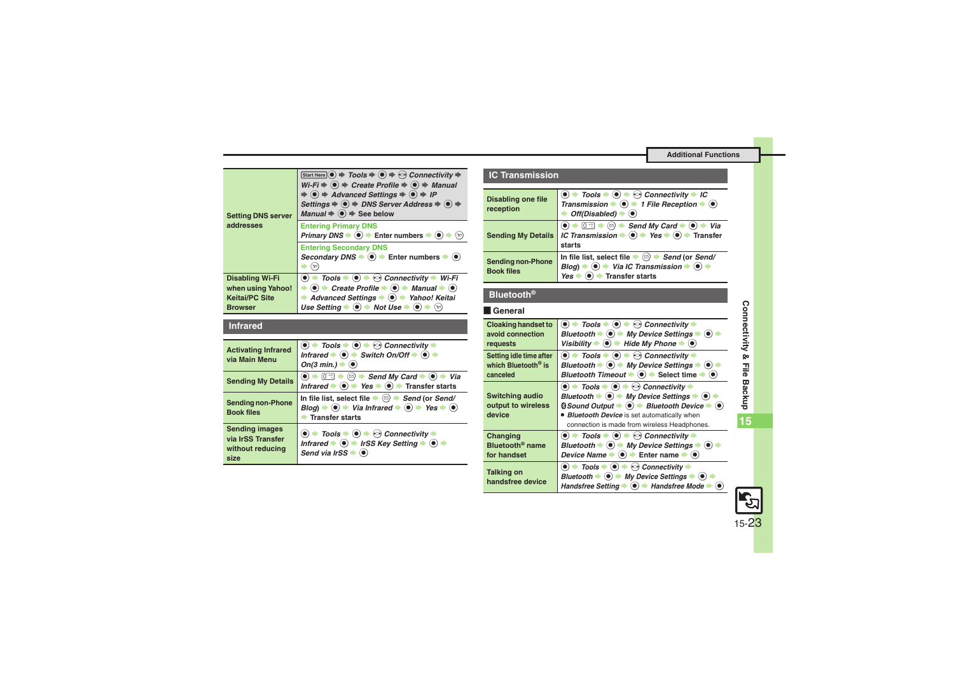<span id="page-22-0"></span>

| <b>Setting DNS server</b><br>addresses                                                 | Start Here $\left( \bullet \right) \Rightarrow$ Tools $\Rightarrow$ $\left( \bullet \right) \Rightarrow$ Connectivity $\Rightarrow$<br>$Wi-Fi \Rightarrow \textcircled{\textcircled{\textcirc}} \Rightarrow$ Create Profile $\Rightarrow \textcircled{\textcircled{\textcirc}} \Rightarrow$ Manual<br>$\Rightarrow$ ( $\bullet$ ) $\Rightarrow$ Advanced Settings $\Rightarrow$ ( $\bullet$ ) $\Rightarrow$ IP<br>Settings $\Rightarrow$ (●) $\Rightarrow$ DNS Server Address $\Rightarrow$ (●) $\Rightarrow$<br>Manual $\Rightarrow$ $\bullet$ $\Rightarrow$ See below |
|----------------------------------------------------------------------------------------|-------------------------------------------------------------------------------------------------------------------------------------------------------------------------------------------------------------------------------------------------------------------------------------------------------------------------------------------------------------------------------------------------------------------------------------------------------------------------------------------------------------------------------------------------------------------------|
|                                                                                        | <b>Entering Primary DNS</b><br>Primary DNS $\Rightarrow$ ( $\bullet$ ) $\Rightarrow$ Enter numbers $\Rightarrow$ ( $\bullet$ )                                                                                                                                                                                                                                                                                                                                                                                                                                          |
|                                                                                        | <b>Entering Secondary DNS</b><br>Secondary DNS $\blacktriangleright$ ( $\blacklozenge$ ) $\blacktriangleright$ Enter numbers $\blacktriangleright$ ( $\blacklozenge$ )                                                                                                                                                                                                                                                                                                                                                                                                  |
| <b>Disabling Wi-Fi</b><br>when using Yahoo!<br><b>Keitai/PC Site</b><br><b>Browser</b> | $\bullet$ $\Rightarrow$ Tools $\Rightarrow$ $\bullet$ $\Rightarrow$ Connectivity $\Rightarrow$ Wi-Fi<br>$\bullet$ $\bullet$ Create Profile $\bullet$ $\bullet$ $\bullet$ Manual $\bullet$ $\bullet$<br>Advanced Settings $\bullet$ ( $\bullet$ ) $\bullet$ Yahoo! Keitai<br>Use Setting $\Rightarrow$ ( $\bullet$ ) $\Rightarrow$ Not Use $\Rightarrow$ ( $\bullet$ )                                                                                                                                                                                                   |

#### <span id="page-22-1"></span>**Infrared**

<span id="page-22-5"></span><span id="page-22-4"></span><span id="page-22-3"></span><span id="page-22-2"></span>

| <b>Activating Infrared</b><br>via Main Menu                            | $\langle \bullet \rangle$ $\Rightarrow$ Tools $\Rightarrow$ $\langle \bullet \rangle$ $\Rightarrow$ Connectivity $\Rightarrow$<br>Infrared $\Rightarrow$ ( $\bullet$ ) $\Rightarrow$ Switch On/Off $\Rightarrow$ ( $\bullet$ ) $\Rightarrow$<br>On(3 min.) $\blacktriangleright$ ( $\blacklozenge$ ) |
|------------------------------------------------------------------------|------------------------------------------------------------------------------------------------------------------------------------------------------------------------------------------------------------------------------------------------------------------------------------------------------|
| <b>Sending My Details</b>                                              | Infrared $\blacktriangleright$ ( $\blacklozenge$ ) $\blacktriangleright$ Yes $\blacktriangleright$ ( $\blacklozenge$ ) $\blacktriangleright$ Transfer starts                                                                                                                                         |
| <b>Sending non-Phone</b><br><b>Book files</b>                          | In file list, select file $\blacktriangleright \textcircled{\scriptsize\Xi}$ $\blacktriangleright$ Send (or Send/<br>$Blog$ ) $\Rightarrow$ ( $\bullet$ ) $\Rightarrow$ Via Infrared $\Rightarrow$ ( $\bullet$ ) $\Rightarrow$ Yes $\Rightarrow$ ( $\bullet$ )<br><b>Transfer starts</b>             |
| <b>Sending images</b><br>via IrSS Transfer<br>without reducing<br>size | $\textcircled{\bullet}$ $\Rightarrow$ Tools $\Rightarrow$ $\textcircled{\bullet}$ $\Rightarrow$ $\textcircled{\circ}$ Connectivity $\Rightarrow$<br>Infrared $\bullet$ $\bullet$ IrSS Key Setting $\bullet$ $\bullet$ $\bullet$<br>Send via IrSS $\bullet$ $\bullet$                                 |

#### **IC Transmission**

<span id="page-22-7"></span><span id="page-22-6"></span>

| <b>Disabling one file</b><br>reception        | $\bullet$ $\Rightarrow$ Tools $\Rightarrow$ $\bullet$ $\Rightarrow$ Connectivity $\Rightarrow$ IC<br>Transmission $\Rightarrow$ $\circledast$ $\Rightarrow$ 1 File Reception $\Rightarrow$ $\circledast$<br>Off(Disabled) $\blacktriangleright$ ( $\blacklozenge$ ) |
|-----------------------------------------------|---------------------------------------------------------------------------------------------------------------------------------------------------------------------------------------------------------------------------------------------------------------------|
| <b>Sending My Details</b>                     | $\boxed{0^{n}$ $\Rightarrow$ $\textcircled{}} \Rightarrow$ Send My Card $\Rightarrow$ $\textcircled{}} \Rightarrow$ Via<br>IC Transmission $\Rightarrow$ ( $\bullet$ ) $\Rightarrow$ Yes $\Rightarrow$ ( $\bullet$ ) $\Rightarrow$ Transfer<br>starts               |
| <b>Sending non-Phone</b><br><b>Book files</b> | In file list, select file $\blacktriangleright \textcircled{a}$ $\blacktriangleright$ Send (or Send/<br>$\bullet$ $\bullet$ Via IC Transmission $\bullet$ $\bullet$ $\bullet$<br>$B$ loa) $\Rightarrow$<br>Transfer starts<br>Yes                                   |

#### <span id="page-22-8"></span>**Bluetooth®**

#### [ **General**

<span id="page-22-12"></span><span id="page-22-11"></span><span id="page-22-10"></span><span id="page-22-9"></span>

| <b>Cloaking handset to</b><br>avoid connection<br>requests             | $\bullet$ $\bullet$ Tools $\bullet$ $\bullet$ $\bullet$ $\bullet$ Connectivity $\bullet$<br>Bluetooth $\blacktriangleright$ ( $\blacklozenge$ ) $\blacktriangleright$ My Device Settings $\blacktriangleright$ ( $\blacklozenge$ )<br>Visibility $\Rightarrow$ ( $\bullet$ ) $\Rightarrow$ Hide My Phone $\Rightarrow$ ( $\bullet$ )                                                                                                                                                                                   |
|------------------------------------------------------------------------|------------------------------------------------------------------------------------------------------------------------------------------------------------------------------------------------------------------------------------------------------------------------------------------------------------------------------------------------------------------------------------------------------------------------------------------------------------------------------------------------------------------------|
| Setting idle time after<br>which Bluetooth <sup>®</sup> is<br>canceled | $\textcircled{\textbullet}$ $\blacktriangleright$ Tools $\blacktriangleright$ $\textcircled{\textbullet}$ $\blacktriangleright$ $\textcircled{\textcirc}$ Connectivity $\blacktriangleright$<br>Bluetooth $\Rightarrow$ ( $\bullet$ ) $\Rightarrow$ My Device Settings $\Rightarrow$ ( $\bullet$ )<br>Bluetooth Timeout $\Rightarrow$ ( $\bullet$ ) $\Rightarrow$ Select time $\Rightarrow$<br>$(\bullet)$                                                                                                             |
| <b>Switching audio</b><br>output to wireless<br>device                 | $\bullet$ $\bullet$ Tools $\bullet$ $\bullet$ $\bullet$ $\bullet$ Connectivity $\bullet$<br>Bluetooth $\blacktriangleright$ $\textcircled{\tiny{\bullet}}$ $\blacktriangleright$ My Device Settings $\blacktriangleright$ $\textcircled{\tiny{\bullet}}$<br>$\textcircled{}$ Sound Output $\blacktriangleright$ ( $\textcircled{}$ ) $\blacktriangleright$ Bluetooth Device $\blacktriangleright$ ( $\textcircled{}$ )<br>• Bluetooth Device is set automatically when<br>connection is made from wireless Headphones. |
| Changing<br>Bluetooth <sup>®</sup> name<br>for handset                 | $\bullet$ $\bullet$ Tools $\bullet$ $\bullet$ $\bullet$ $\bullet$ Connectivity $\bullet$<br>Bluetooth $\Rightarrow$ ( $\bullet$ ) $\Rightarrow$ My Device Settings $\Rightarrow$ ( $\bullet$ )<br>Device Name $\bullet$ ( $\bullet$ ) $\bullet$ Enter name $\bullet$ ( $\bullet$ )                                                                                                                                                                                                                                     |
| <b>Talking on</b><br>handsfree device                                  | $\bullet$ $\bullet$ Tools $\bullet$ $\bullet$ $\bullet$ $\bullet$ Connectivity $\bullet$<br>Bluetooth $\blacktriangleright$ ( $\blacklozenge$ ) $\blacktriangleright$ My Device Settings $\blacktriangleright$ ( $\blacklozenge$ )<br>Handsfree Setting $\bullet$ $\bullet$ + Handsfree Mode $\bullet$                                                                                                                                                                                                                 |

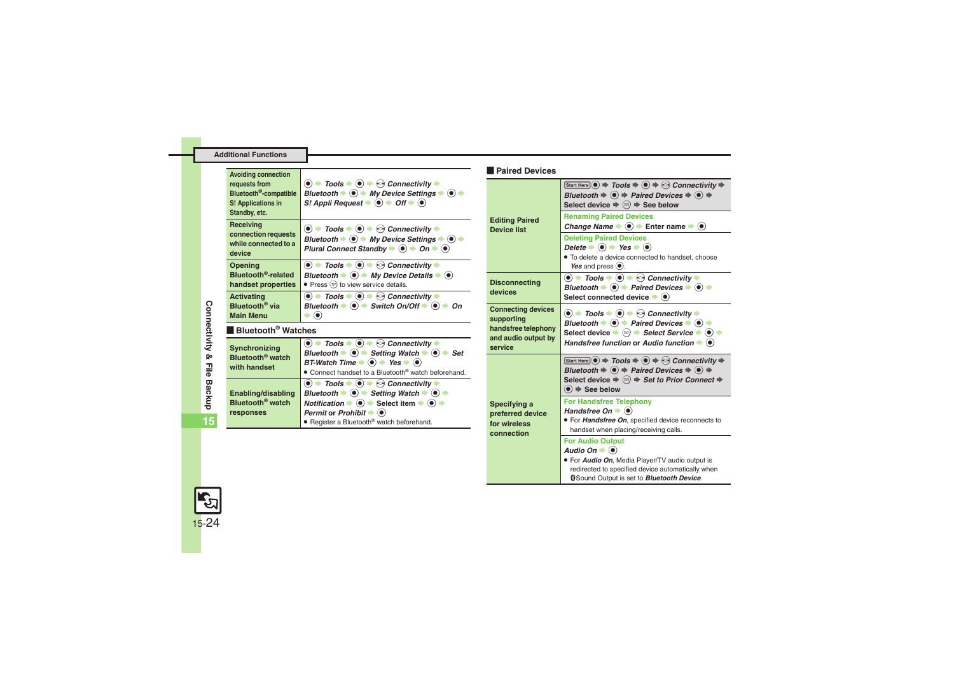#### **Additional Functions**

<span id="page-23-3"></span><span id="page-23-0"></span>

| <b>Avoiding connection</b>                                                                 |                                                                                                                                                                                                                                                                                                                                                                                                       | <b>Paired Devices</b>                       |
|--------------------------------------------------------------------------------------------|-------------------------------------------------------------------------------------------------------------------------------------------------------------------------------------------------------------------------------------------------------------------------------------------------------------------------------------------------------------------------------------------------------|---------------------------------------------|
| requests from<br>Bluetooth <sup>®</sup> -compatible<br>S! Applications in<br>Standby, etc. | $\bullet$ $\rightarrow$ Tools $\rightarrow$ $\bullet$ $\rightarrow$ $\odot$ Connectivity $\rightarrow$<br>Bluetooth $\blacktriangleright$ ( $\blacklozenge$ ) $\blacktriangleright$ My Device Settings $\blacktriangleright$ ( $\blacklozenge$ ) $\blacktriangleright$<br>S! Appli Request $\Rightarrow$ $\bullet$ $\Rightarrow$ Off $\Rightarrow$ $\circledcirc$                                     |                                             |
| Receiving<br>connection requests<br>while connected to a<br>device                         | $\bullet$ $\rightarrow$ Tools $\rightarrow$ $\bullet$ $\rightarrow$ $\odot$ Connectivity $\rightarrow$<br>Bluetooth $\Rightarrow$ ( $\bullet$ ) $\Rightarrow$ My Device Settings $\Rightarrow$ ( $\bullet$ ) $\Rightarrow$<br>Plural Connect Standby $\Rightarrow$ $\circledcirc$ $\Rightarrow$ On $\Rightarrow$ $\circledcirc$                                                                       | <b>Editing Paired</b><br><b>Device list</b> |
| Opening                                                                                    | $\textcircled{\bullet}$ $\textup{\textbf{+}}$ Tools $\textup{\textbf{+}}$ $\textcircled{\bullet}$ $\textup{\textbf{+}}$ $\textcircled{\bullet}$ Connectivity $\textup{\textbf{+}}$                                                                                                                                                                                                                    |                                             |
| Bluetooth <sup>®</sup> -related                                                            | Bluetooth $\Rightarrow$ ( $\bullet$ ) $\Rightarrow$ My Device Details $\Rightarrow$ ( $\bullet$ )                                                                                                                                                                                                                                                                                                     |                                             |
| handset properties                                                                         | • Press $\mathcal{P}$ to view service details.                                                                                                                                                                                                                                                                                                                                                        | <b>Disconnecting</b>                        |
| <b>Activating</b>                                                                          | $\bullet$ $\rightarrow$ Tools $\rightarrow$ $\bullet$ $\rightarrow$ $\odot$ Connectivity $\rightarrow$                                                                                                                                                                                                                                                                                                | devices                                     |
| Bluetooth <sup>®</sup> via                                                                 | Bluetooth $\Rightarrow$ ( $\bullet$ ) $\Rightarrow$ Switch On/Off $\Rightarrow$ ( $\bullet$ ) $\Rightarrow$ On                                                                                                                                                                                                                                                                                        | <b>Connecting devices</b>                   |
| <b>Main Menu</b>                                                                           | $\circledbullet$                                                                                                                                                                                                                                                                                                                                                                                      | supporting                                  |
|                                                                                            |                                                                                                                                                                                                                                                                                                                                                                                                       |                                             |
| Bluetooth <sup>®</sup> Watches                                                             |                                                                                                                                                                                                                                                                                                                                                                                                       | handsfree telephony                         |
| Synchronizing<br>Bluetooth <sup>®</sup> watch<br>with handset                              | $\bullet$ $\rightarrow$ Tools $\rightarrow$ $\odot$ $\rightarrow$ $\odot$ Connectivity $\rightarrow$<br>Bluetooth $\Rightarrow$ ( $\bullet$ ) $\Rightarrow$ Setting Watch $\Rightarrow$ ( $\bullet$ ) $\Rightarrow$ Set<br>BT-Watch Time $\Rightarrow$ ( $\bullet$ ) $\Rightarrow$ Yes $\Rightarrow$ ( $\bullet$ )                                                                                    | and audio output by<br>service              |
|                                                                                            | • Connect handset to a Bluetooth <sup>®</sup> watch beforehand.                                                                                                                                                                                                                                                                                                                                       |                                             |
| Enabling/disabling<br>Bluetooth <sup>®</sup> watch                                         | $\textcircled{\bullet}$ $\Rightarrow$ Tools $\Rightarrow$ $\textcircled{\bullet}$ $\Rightarrow$ Connectivity $\Rightarrow$<br>Bluetooth $\blacktriangleright$ ( $\blacklozenge$ ) $\blacktriangleright$ Setting Watch $\blacktriangleright$ ( $\blacklozenge$ ) $\blacktriangleright$<br>Notification $\Rightarrow$ ( $\bullet$ ) $\Rightarrow$ Select item $\Rightarrow$ ( $\bullet$ ) $\Rightarrow$ | Specifying a                                |
| responses                                                                                  | Permit or Prohibit $\blacktriangleright$ ( $\blacklozenge$ )<br>• Register a Bluetooth® watch beforehand.                                                                                                                                                                                                                                                                                             | preferred device<br>for wireless            |

<span id="page-23-7"></span><span id="page-23-6"></span><span id="page-23-5"></span><span id="page-23-4"></span>

| <b>Editing Paired</b><br><b>Device list</b>                                                      | Start Here $\odot$ $\Rightarrow$ Tools $\Rightarrow$ $\odot$ $\Rightarrow$ $\odot$ Connectivity $\Rightarrow$<br>Bluetooth $\Rightarrow$ $\circledast$ $\Rightarrow$ Paired Devices $\Rightarrow$ $\circledast$ $\Rightarrow$<br>Select device $\Rightarrow$ $\textcircled{r}$ $\Rightarrow$ See below                                                                                                                                                                                         |
|--------------------------------------------------------------------------------------------------|------------------------------------------------------------------------------------------------------------------------------------------------------------------------------------------------------------------------------------------------------------------------------------------------------------------------------------------------------------------------------------------------------------------------------------------------------------------------------------------------|
|                                                                                                  | <b>Renaming Paired Devices</b><br>Change Name $\blacktriangleright$ ( $\blacklozenge$ ) $\blacktriangleright$ Enter name $\blacktriangleright$ ( $\blacklozenge$ )                                                                                                                                                                                                                                                                                                                             |
|                                                                                                  | <b>Deleting Paired Devices</b><br>Delete $\Rightarrow$ ( $\bullet$ ) $\Rightarrow$ Yes $\Rightarrow$ ( $\bullet$ )<br>. To delete a device connected to handset, choose<br>Yes and press $(•)$ .                                                                                                                                                                                                                                                                                               |
| <b>Disconnecting</b><br>devices                                                                  | $\textcircled{\bullet}$ $\textup{\textbf{+}}$ Tools $\textup{\textbf{+}}$ $\textcircled{\bullet}$ $\textup{\textbf{+}}$ $\textcircled{\bullet}$ Connectivity $\textup{\textbf{+}}$<br>Bluetooth $\Rightarrow$ ( $\bullet$ ) $\Rightarrow$ Paired Devices $\Rightarrow$ ( $\bullet$ ) $\Rightarrow$<br>Select connected device $\bullet$ ( $\bullet$ )                                                                                                                                          |
| <b>Connecting devices</b><br>supporting<br>handsfree telephony<br>and audio output by<br>service | $\textcircled{\bullet}$ $\Rightarrow$ Tools $\Rightarrow$ $\textcircled{\bullet}$ $\Rightarrow$ Connectivity $\Rightarrow$<br>Bluetooth $\blacktriangleright$ ( $\blacklozenge$ ) $\blacktriangleright$ Paired Devices $\blacktriangleright$ ( $\blacklozenge$ ) $\blacktriangleright$<br>Select device $\blacktriangleright \textcircled{e}$ $\blacktriangleright$ Select Service $\blacktriangleright$ (0) $\blacktriangleright$<br>Handsfree function or Audio function $\bullet$ $\bullet$ |
| Specifying a<br>preferred device<br>for wireless<br>connection                                   | Start Here $\odot$ $\Rightarrow$ Tools $\Rightarrow$ $\odot$ $\Rightarrow$ $\odot$ Connectivity $\Rightarrow$<br>Bluetooth $\Rightarrow$ $\circledast$ $\Rightarrow$ Paired Devices $\Rightarrow$ $\circledast$ $\Rightarrow$<br>Select device $\Rightarrow$ $\textcircled{2} \Rightarrow$ Set to Prior Connect $\Rightarrow$<br>$\left( \bullet \right) \Rightarrow$ See below                                                                                                                |
|                                                                                                  | <b>For Handsfree Telephony</b><br>Handsfree On $\blacktriangleright$ ( $\blacklozenge$ )<br>· For Handsfree On, specified device reconnects to<br>handset when placing/receiving calls.                                                                                                                                                                                                                                                                                                        |
|                                                                                                  | <b>For Audio Output</b><br>Audio On $\blacktriangleright$ ( $\blacklozenge$ )<br>. For <b>Audio On</b> , Media Player/TV audio output is<br>redirected to specified device automatically when<br>Sound Output is set to <b>Bluetooth Device</b> .                                                                                                                                                                                                                                              |

<span id="page-23-2"></span><span id="page-23-1"></span>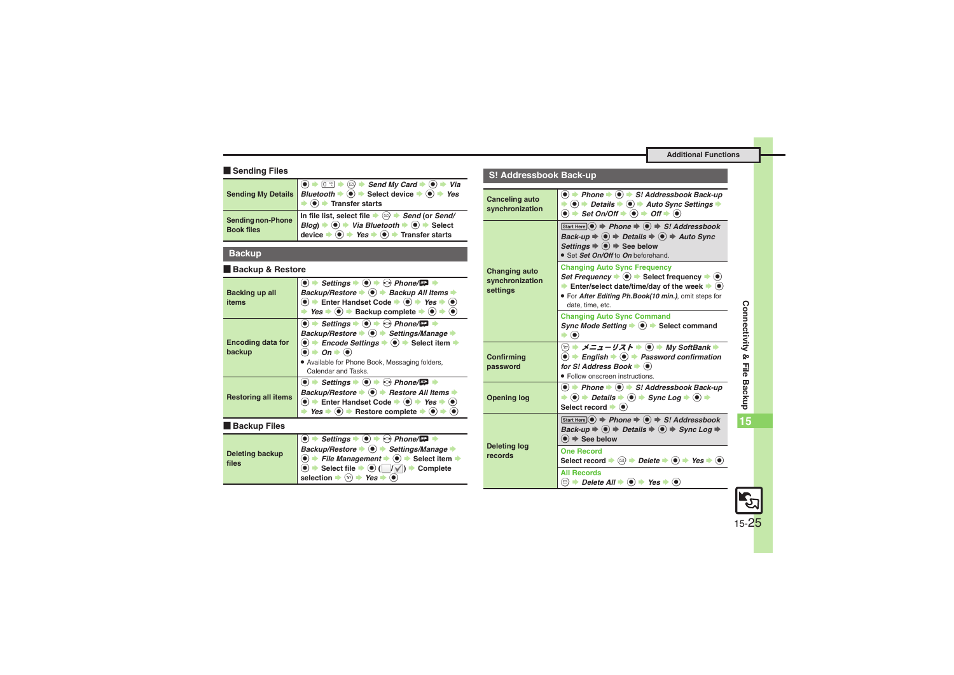#### **Example Sending Files**

<span id="page-24-0"></span>

|                                               | Sending My Details <i>Bluetooth</i> $\Rightarrow$ © $\Rightarrow$ Send My Card $\Rightarrow$ © $\Rightarrow$ Yia<br>$\bullet$ $\bullet$ Transfer starts                                                                                                                                                      |
|-----------------------------------------------|--------------------------------------------------------------------------------------------------------------------------------------------------------------------------------------------------------------------------------------------------------------------------------------------------------------|
| <b>Sending non-Phone</b><br><b>Book files</b> | In file list, select file $\Rightarrow$ $\textcircled{}} \Rightarrow$ Send (or Send/<br>Blog) $\Rightarrow$ $\textcircled{i} \Rightarrow$ Via Bluetooth $\Rightarrow$ $\textcircled{i} \Rightarrow$ Select<br>device $\bullet$ ( $\bullet$ ) $\bullet$ Yes $\bullet$ ( $\bullet$ ) $\bullet$ Transfer starts |

#### <span id="page-24-1"></span>**Backup**

#### [ **Backup & Restore**

<span id="page-24-3"></span><span id="page-24-2"></span>

| Backing up all<br>items            | Settings $\bullet$ ( $\bullet$ ) $\bullet$ $\odot$ Phone/ $\bullet$<br>Backup/Restore $\bullet$ $\bullet$ $\bullet$ Backup All Items $\bullet$<br>$\bullet$ $\bullet$ Enter Handset Code $\bullet$ $\bullet$ $\bullet$ Yes $\bullet$ $\bullet$<br>$Yes \rightarrow (•) \rightarrow Backup$ complete $\rightarrow (•)$                                                                          |
|------------------------------------|------------------------------------------------------------------------------------------------------------------------------------------------------------------------------------------------------------------------------------------------------------------------------------------------------------------------------------------------------------------------------------------------|
| <b>Encoding data for</b><br>backup | Settings $\bullet$ ( $\bullet$ ) $\bullet$ ( $\bullet$ ) Phone/ $\Box$<br>Backup/Restore → (•) → Settings/Manage →<br>Encode Settings $\Rightarrow$ ( $\bullet$ ) $\Rightarrow$ Select item $\Rightarrow$<br>$On \rightarrow \odot$<br>. Available for Phone Book, Messaging folders,<br>Calendar and Tasks.                                                                                   |
| <b>Restoring all items</b>         | Settings $\bullet$ ( $\bullet$ ) $\bullet$ ( $\circ$ ) Phone/ $\Box$ $\bullet$<br>Backup/Restore $\blacktriangleright$ ( $\blacklozenge$ ) $\blacktriangleright$ Restore All Items $\blacktriangleright$<br>Enter Handset Code $\Rightarrow$ ( $\bullet$ ) $\Rightarrow$ Yes $\Rightarrow$ ( $\bullet$ )<br>$Yes \rightarrow \textcircled{\bullet} \rightarrow$ Restore complete $\rightarrow$ |

#### <span id="page-24-4"></span>**E** Backup Files

<span id="page-24-5"></span>

| <b>Deleting backup</b><br>files | $\bullet$ $\rightarrow$ Settings $\rightarrow$ $\odot$ $\rightarrow$ $\odot$ Phone/ $\rightarrow$                                                                          |
|---------------------------------|----------------------------------------------------------------------------------------------------------------------------------------------------------------------------|
|                                 | Backup/Restore $\bullet$ $\bullet$ > Settings/Manage                                                                                                                       |
|                                 | $\langle \bullet \rangle$ File Management $\Rightarrow$ $\langle \bullet \rangle$ $\Rightarrow$ Select item $\Rightarrow$                                                  |
|                                 | $\textcircled{\textbf{I}}$ $\blacktriangleright$ Select file $\blacktriangleright$ $\textcircled{\textbf{I}}$ $(\blacksquare/\blacksquare)$ $\blacktriangleright$ Complete |
|                                 | selection $\Rightarrow$ $\hat{P}$ $\Rightarrow$ Yes $\Rightarrow$ (0)                                                                                                      |

### **S! Addressbook Back-up**

<span id="page-24-9"></span><span id="page-24-8"></span><span id="page-24-7"></span><span id="page-24-6"></span>

| <b>Canceling auto</b><br>synchronization            | $\bullet$ $\bullet$ Phone $\bullet$ $\bullet$ S! Addressbook Back-up<br>$\Rightarrow$ (0) $\Rightarrow$ Details $\Rightarrow$ (0) $\Rightarrow$ Auto Sync Settings $\Rightarrow$<br>$\bullet$ $\Rightarrow$ Set On/Off $\Rightarrow$ $\bullet$ $\Rightarrow$ Off $\Rightarrow$ $\bullet$                                                        |
|-----------------------------------------------------|-------------------------------------------------------------------------------------------------------------------------------------------------------------------------------------------------------------------------------------------------------------------------------------------------------------------------------------------------|
| <b>Changing auto</b><br>synchronization<br>settings | Start Here $\odot$ $\Rightarrow$ Phone $\Rightarrow$ $\odot$ $\Rightarrow$ S! Addressbook<br>Back-up $\Rightarrow$ $\circledast$ $\Rightarrow$ Details $\Rightarrow$ $\circledast$ $\Rightarrow$ Auto Sync<br>Settings $\Rightarrow$ $\circledbullet$ $\Rightarrow$ See below<br>• Set Set On/Off to On beforehand.                             |
|                                                     | <b>Changing Auto Sync Frequency</b><br>Set Frequency $\blacktriangleright$ ( $\blacklozenge$ ) $\blacktriangleright$ Select frequency $\blacktriangleright$ ( $\blacklozenge$ )<br>Enter/select date/time/day of the week $\blacktriangleright$ ( $\blacklozenge$ )<br>• For After Editing Ph.Book(10 min.), omit steps for<br>date, time, etc. |
|                                                     | <b>Changing Auto Sync Command</b><br>Sync Mode Setting $\bullet$ ( $\bullet$ ) $\bullet$ Select command<br>$\blacktriangleright$ (0)                                                                                                                                                                                                            |
| Confirming<br>password                              | $\textcircled{\tiny\rm F}\Rightarrow$ メニューリスト $\Rightarrow$ (•) $\Rightarrow$ My SoftBank $\Rightarrow$<br>$\bullet$ + English + $\bullet$ + Password confirmation<br>for S! Address Book $\blacktriangleright$ ( $\blacklozenge$ )<br>• Follow onscreen instructions.                                                                          |
| <b>Opening log</b>                                  | $\bullet$ $\bullet$ Phone $\bullet$ $\bullet$ S! Addressbook Back-up<br>$\Rightarrow$ (0) $\Rightarrow$ Details $\Rightarrow$ (0) $\Rightarrow$ Sync Log $\Rightarrow$ (0) $\Rightarrow$<br>Select record $\bullet$ ( $\bullet$ )                                                                                                               |
| <b>Deleting log</b><br>records                      | Start Here $\odot$ $\Rightarrow$ Phone $\Rightarrow$ $\odot$ $\Rightarrow$ S! Addressbook<br>Back-up $\Rightarrow$ $\circledcirc$ $\Rightarrow$ Details $\Rightarrow$ $\circledcirc$ $\Rightarrow$ Sync Log $\Rightarrow$<br>$\left( \bullet \right) \Rightarrow$ See below                                                                     |
|                                                     | <b>One Record</b><br>Select record $\Rightarrow$ $\textcircled{=}$ <i>Delete</i> $\Rightarrow$ $\textcircled{=}$ <i>Yes</i> $\Rightarrow$ $\textcircled{}$                                                                                                                                                                                      |
|                                                     | <b>All Records</b><br>$\textcircled{\scriptsize{\textcircled{\#}}}$ Delete All $\blacktriangleright$ (●) $\blacktriangleright$ Yes $\blacktriangleright$ (●)                                                                                                                                                                                    |
|                                                     |                                                                                                                                                                                                                                                                                                                                                 |

**15**

<span id="page-24-10"></span>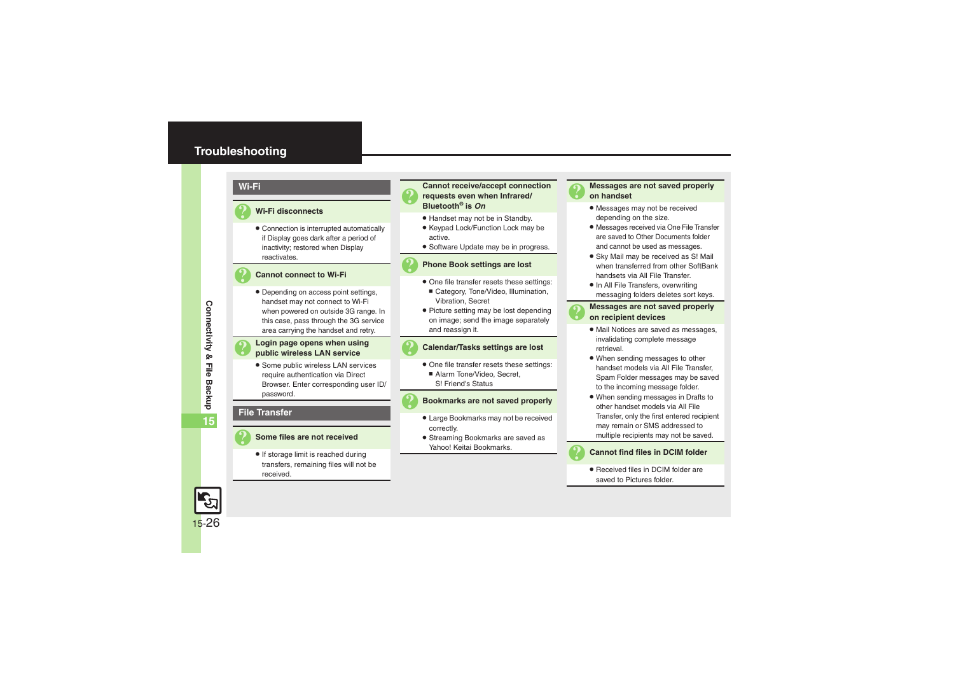## <span id="page-25-0"></span>**Troubleshooting**

#### **Wi-Fi**

#### 3 **Wi-Fi disconnects**

. Connection is interrupted automatically if Display goes dark after a period of inactivity; restored when Display reactivates.

#### 3 **Cannot connect to Wi-Fi**

. Depending on access point settings, handset may not connect to Wi-Fi when powered on outside 3G range. In this case, pass through the 3G service area carrying the handset and retry.

# 3 **Login page opens when using public wireless LAN service**

**•** Some public wireless LAN services require authentication via Direct Browser. Enter corresponding user ID/ password.

#### **File Transfer**

#### 3 **Some files are not received**

• If storage limit is reached during transfers, remaining files will not be received.

# <sup>3</sup>**Cannot receive/accept connection requests even when Infrared/ Bluetooth® is** *On*

- . Handset may not be in Standby.
- Keypad Lock/Function Lock may be active.
- **•** Software Update may be in progress.

#### 3 **Phone Book settings are lost**

- . One file transfer resets these settings:
- Category, Tone/Video, Illumination, Vibration, Secret
- Picture setting may be lost depending on image; send the image separately and reassign it.

#### 3 **Calendar/Tasks settings are lost**

- . One file transfer resets these settings:
	- Alarm Tone/Video, Secret, S! Friend's Status

#### 3 **Bookmarks are not saved properly**

- . Large Bookmarks may not be received correctly.
- . Streaming Bookmarks are saved as Yahoo! Keitai Bookmarks.



# 3 **Messages are not saved properly on handset**

- . Messages may not be received depending on the size.
- . Messages received via One File Transfer are saved to Other Documents folder and cannot be used as messages.
- . Sky Mail may be received as S! Mail when transferred from other SoftBank handsets via All File Transfer.
- In All File Transfers, overwriting messaging folders deletes sort keys.

# 3 **Messages are not saved properly on recipient devices**

- . Mail Notices are saved as messages, invalidating complete message retrieval.
- . When sending messages to other handset models via All File Transfer, Spam Folder messages may be saved to the incoming message folder.
- . When sending messages in Drafts to other handset models via All File Transfer, only the first entered recipient may remain or SMS addressed to multiple recipients may not be saved.



#### **Cannot find files in DCIM folder**

• Received files in DCIM folder are saved to Pictures folder.